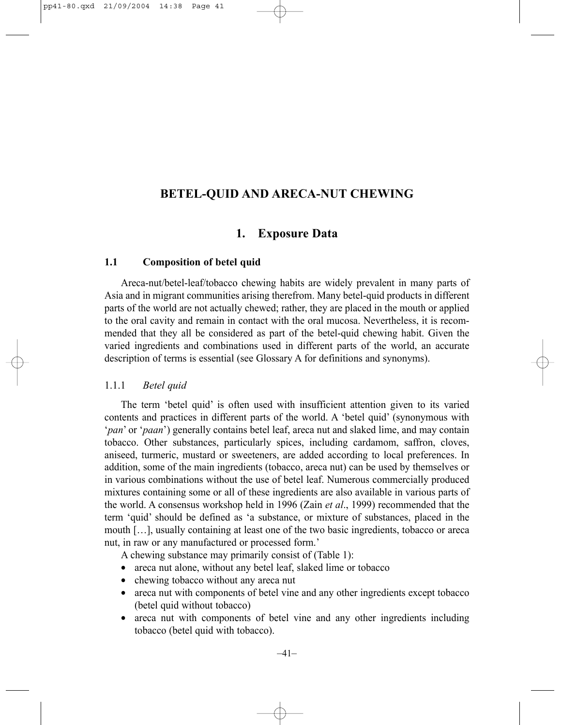# **BETEL-QUID AND ARECA-NUT CHEWING**

# **1. Exposure Data**

# **1.1 Composition of betel quid**

Areca-nut/betel-leaf/tobacco chewing habits are widely prevalent in many parts of Asia and in migrant communities arising therefrom. Many betel-quid products in different parts of the world are not actually chewed; rather, they are placed in the mouth or applied to the oral cavity and remain in contact with the oral mucosa. Nevertheless, it is recommended that they all be considered as part of the betel-quid chewing habit. Given the varied ingredients and combinations used in different parts of the world, an accurate description of terms is essential (see Glossary A for definitions and synonyms).

# 1.1.1 *Betel quid*

The term 'betel quid' is often used with insufficient attention given to its varied contents and practices in different parts of the world. A 'betel quid' (synonymous with '*pan*' or '*paan*') generally contains betel leaf, areca nut and slaked lime, and may contain tobacco. Other substances, particularly spices, including cardamom, saffron, cloves, aniseed, turmeric, mustard or sweeteners, are added according to local preferences. In addition, some of the main ingredients (tobacco, areca nut) can be used by themselves or in various combinations without the use of betel leaf. Numerous commercially produced mixtures containing some or all of these ingredients are also available in various parts of the world. A consensus workshop held in 1996 (Zain *et al*., 1999) recommended that the term 'quid' should be defined as 'a substance, or mixture of substances, placed in the mouth […], usually containing at least one of the two basic ingredients, tobacco or areca nut, in raw or any manufactured or processed form.'

A chewing substance may primarily consist of (Table 1):

- areca nut alone, without any betel leaf, slaked lime or tobacco
- chewing tobacco without any areca nut
- areca nut with components of betel vine and any other ingredients except tobacco (betel quid without tobacco)
- areca nut with components of betel vine and any other ingredients including tobacco (betel quid with tobacco).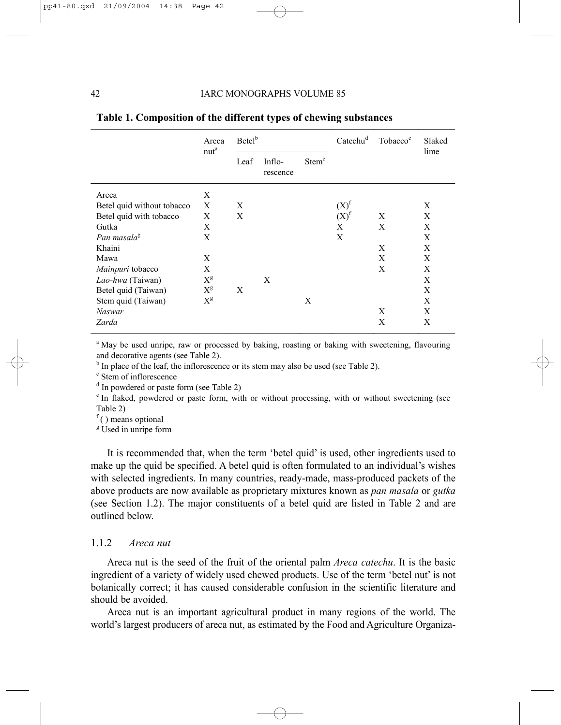|                            | Areca<br>nut <sup>a</sup> | Betel <sup>b</sup> |                    |                   | Catechu <sup>d</sup> | Tobacco <sup>e</sup> | Slaked<br>lime |
|----------------------------|---------------------------|--------------------|--------------------|-------------------|----------------------|----------------------|----------------|
|                            |                           | Leaf               | Inflo-<br>rescence | Stem <sup>c</sup> |                      |                      |                |
| Areca                      | X                         |                    |                    |                   |                      |                      |                |
| Betel quid without tobacco | X                         | X                  |                    |                   | $(X)^f$              |                      | X              |
| Betel quid with tobacco    | X                         | X                  |                    |                   | $(X)^f$              | X                    | X              |
| Gutka                      | X                         |                    |                    |                   | X                    | X                    | X              |
| Pan masala <sup>g</sup>    | X                         |                    |                    |                   | X                    |                      | X              |
| Khaini                     |                           |                    |                    |                   |                      | X                    | X              |
| Mawa                       | X                         |                    |                    |                   |                      | X                    | X              |
| Mainpuri tobacco           | X                         |                    |                    |                   |                      | X                    | X              |
| Lao-hwa (Taiwan)           | $X^g$                     |                    | X                  |                   |                      |                      | X              |
| Betel quid (Taiwan)        | $X^g$                     | X                  |                    |                   |                      |                      | X              |
| Stem quid (Taiwan)         | $X^g$                     |                    |                    | X                 |                      |                      | X              |
| <b>Naswar</b>              |                           |                    |                    |                   |                      | X                    | X              |
| Zarda                      |                           |                    |                    |                   |                      | X                    | X              |

#### **Table 1. Composition of the different types of chewing substances**

<sup>a</sup> May be used unripe, raw or processed by baking, roasting or baking with sweetening, flavouring and decorative agents (see Table 2).

 $b$  In place of the leaf, the inflorescence or its stem may also be used (see Table 2).

c Stem of inflorescence

<sup>d</sup> In powdered or paste form (see Table 2)

<sup>e</sup> In flaked, powdered or paste form, with or without processing, with or without sweetening (see Table 2)

 $f($ ) means optional

<sup>g</sup> Used in unripe form

It is recommended that, when the term 'betel quid' is used, other ingredients used to make up the quid be specified. A betel quid is often formulated to an individual's wishes with selected ingredients. In many countries, ready-made, mass-produced packets of the above products are now available as proprietary mixtures known as *pan masala* or *gutka* (see Section 1.2). The major constituents of a betel quid are listed in Table 2 and are outlined below.

# 1.1.2 *Areca nut*

Areca nut is the seed of the fruit of the oriental palm *Areca catechu*. It is the basic ingredient of a variety of widely used chewed products. Use of the term 'betel nut' is not botanically correct; it has caused considerable confusion in the scientific literature and should be avoided.

Areca nut is an important agricultural product in many regions of the world. The world's largest producers of areca nut, as estimated by the Food and Agriculture Organiza-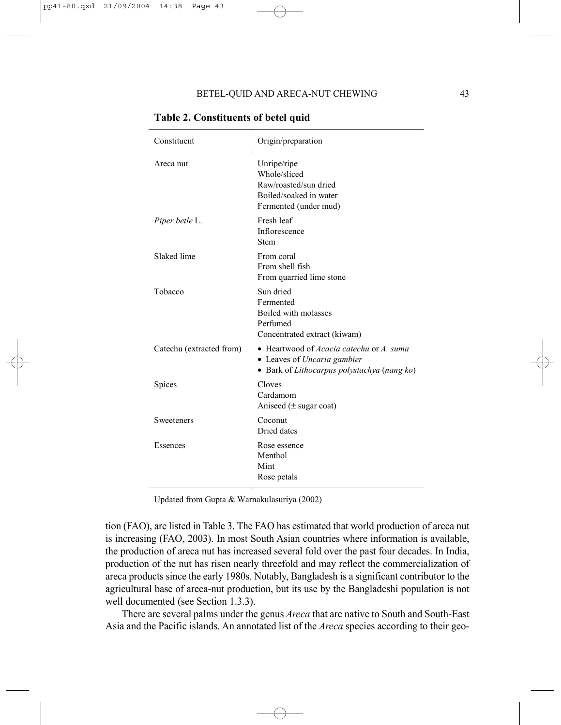| Constituent              | Origin/preparation                                                                                                                   |
|--------------------------|--------------------------------------------------------------------------------------------------------------------------------------|
| Areca nut                | Unripe/ripe<br>Whole/sliced<br>Raw/roasted/sun dried<br>Boiled/soaked in water<br>Fermented (under mud)                              |
| Piper betle L.           | Fresh leaf<br>Inflorescence<br>Stem                                                                                                  |
| Slaked lime              | From coral<br>From shell fish<br>From quarried lime stone                                                                            |
| Tobacco                  | Sun dried<br>Fermented<br>Boiled with molasses<br>Perfumed<br>Concentrated extract (kiwam)                                           |
| Catechu (extracted from) | • Heartwood of <i>Acacia catechu</i> or <i>A. suma</i><br>• Leaves of Uncaria gambier<br>• Bark of Lithocarpus polystachya (nang ko) |
| Spices                   | Cloves<br>Cardamom<br>Aniseed $(\pm$ sugar coat)                                                                                     |
| Sweeteners               | Coconut<br>Dried dates                                                                                                               |
| Essences                 | Rose essence<br>Menthol<br>Mint<br>Rose petals                                                                                       |

**Table 2. Constituents of betel quid** 

Updated from Gupta & Warnakulasuriya (2002)

tion (FAO), are listed in Table 3. The FAO has estimated that world production of areca nut is increasing (FAO, 2003). In most South Asian countries where information is available, the production of areca nut has increased several fold over the past four decades. In India, production of the nut has risen nearly threefold and may reflect the commercialization of areca products since the early 1980s. Notably, Bangladesh is a significant contributor to the agricultural base of areca-nut production, but its use by the Bangladeshi population is not well documented (see Section 1.3.3).

There are several palms under the genus *Areca* that are native to South and South-East Asia and the Pacific islands. An annotated list of the *Areca* species according to their geo-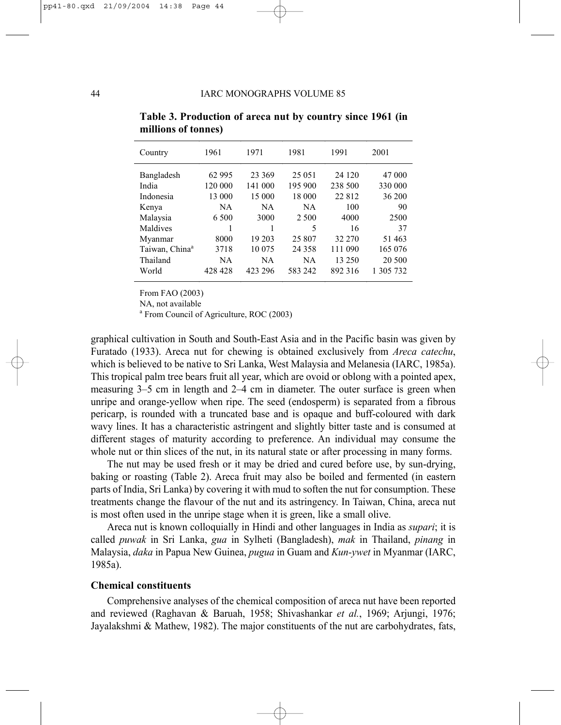| Country                                                                                                                         | 1961                                                                        | 1971                                                                                   | 1981                                                                                                 | 1991                                                                                      | 2001                                                                                        |
|---------------------------------------------------------------------------------------------------------------------------------|-----------------------------------------------------------------------------|----------------------------------------------------------------------------------------|------------------------------------------------------------------------------------------------------|-------------------------------------------------------------------------------------------|---------------------------------------------------------------------------------------------|
| Bangladesh<br>India<br>Indonesia<br>Kenya<br>Malaysia<br>Maldives<br>Myanmar<br>Taiwan, China <sup>a</sup><br>Thailand<br>World | 62 995<br>120 000<br>13 000<br>NA<br>6.500<br>8000<br>3718<br>NA<br>428 428 | 23 369<br>141 000<br>15 000<br><b>NA</b><br>3000<br>19 203<br>10 0 75<br>NA<br>423 296 | 25 051<br>195 900<br>18 000<br><b>NA</b><br>2 500<br>5<br>25 807<br>24 3 5 8<br><b>NA</b><br>583 242 | 24 1 20<br>238 500<br>22812<br>100<br>4000<br>16<br>32 270<br>111 090<br>13 250<br>892316 | 47 000<br>330 000<br>36 200<br>90<br>2500<br>37<br>51 463<br>165 076<br>20 500<br>1 305 732 |
|                                                                                                                                 |                                                                             |                                                                                        |                                                                                                      |                                                                                           |                                                                                             |

**Table 3. Production of areca nut by country since 1961 (in millions of tonnes)** 

From FAO (2003)

NA, not available

<sup>a</sup> From Council of Agriculture, ROC (2003)

graphical cultivation in South and South-East Asia and in the Pacific basin was given by Furatado (1933). Areca nut for chewing is obtained exclusively from *Areca catechu*, which is believed to be native to Sri Lanka, West Malaysia and Melanesia (IARC, 1985a). This tropical palm tree bears fruit all year, which are ovoid or oblong with a pointed apex, measuring 3–5 cm in length and 2–4 cm in diameter. The outer surface is green when unripe and orange-yellow when ripe. The seed (endosperm) is separated from a fibrous pericarp, is rounded with a truncated base and is opaque and buff-coloured with dark wavy lines. It has a characteristic astringent and slightly bitter taste and is consumed at different stages of maturity according to preference. An individual may consume the whole nut or thin slices of the nut, in its natural state or after processing in many forms.

The nut may be used fresh or it may be dried and cured before use, by sun-drying, baking or roasting (Table 2). Areca fruit may also be boiled and fermented (in eastern parts of India, Sri Lanka) by covering it with mud to soften the nut for consumption. These treatments change the flavour of the nut and its astringency. In Taiwan, China, areca nut is most often used in the unripe stage when it is green, like a small olive.

Areca nut is known colloquially in Hindi and other languages in India as *supari*; it is called *puwak* in Sri Lanka, *gua* in Sylheti (Bangladesh), *mak* in Thailand, *pinang* in Malaysia, *daka* in Papua New Guinea, *pugua* in Guam and *Kun-ywet* in Myanmar (IARC, 1985a).

#### **Chemical constituents**

Comprehensive analyses of the chemical composition of areca nut have been reported and reviewed (Raghavan & Baruah, 1958; Shivashankar *et al.*, 1969; Arjungi, 1976; Jayalakshmi & Mathew, 1982). The major constituents of the nut are carbohydrates, fats,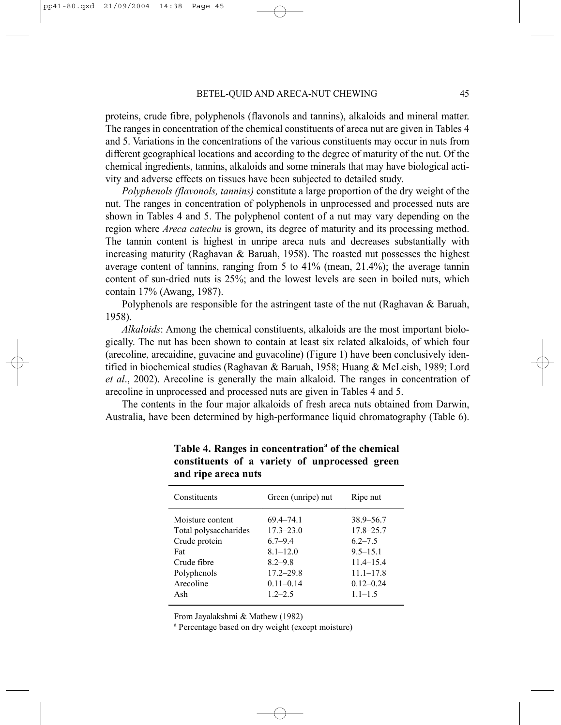proteins, crude fibre, polyphenols (flavonols and tannins), alkaloids and mineral matter. The ranges in concentration of the chemical constituents of areca nut are given in Tables 4 and 5. Variations in the concentrations of the various constituents may occur in nuts from different geographical locations and according to the degree of maturity of the nut. Of the chemical ingredients, tannins, alkaloids and some minerals that may have biological activity and adverse effects on tissues have been subjected to detailed study.

*Polyphenols (flavonols, tannins)* constitute a large proportion of the dry weight of the nut. The ranges in concentration of polyphenols in unprocessed and processed nuts are shown in Tables 4 and 5. The polyphenol content of a nut may vary depending on the region where *Areca catechu* is grown, its degree of maturity and its processing method. The tannin content is highest in unripe areca nuts and decreases substantially with increasing maturity (Raghavan & Baruah, 1958). The roasted nut possesses the highest average content of tannins, ranging from 5 to 41% (mean, 21.4%); the average tannin content of sun-dried nuts is 25%; and the lowest levels are seen in boiled nuts, which contain 17% (Awang, 1987).

Polyphenols are responsible for the astringent taste of the nut (Raghavan & Baruah, 1958).

*Alkaloids*: Among the chemical constituents, alkaloids are the most important biologically. The nut has been shown to contain at least six related alkaloids, of which four (arecoline, arecaidine, guvacine and guvacoline) (Figure 1) have been conclusively identified in biochemical studies (Raghavan & Baruah, 1958; Huang & McLeish, 1989; Lord *et al*., 2002). Arecoline is generally the main alkaloid. The ranges in concentration of arecoline in unprocessed and processed nuts are given in Tables 4 and 5.

The contents in the four major alkaloids of fresh areca nuts obtained from Darwin, Australia, have been determined by high-performance liquid chromatography (Table 6).

| Constituents<br>Green (unripe) nut<br>Ripe nut                                                                                                                                                                                                                                                                                                                                      |  |
|-------------------------------------------------------------------------------------------------------------------------------------------------------------------------------------------------------------------------------------------------------------------------------------------------------------------------------------------------------------------------------------|--|
|                                                                                                                                                                                                                                                                                                                                                                                     |  |
| Moisture content<br>69.4–74.1<br>$38.9 - 56.7$<br>$17.8 - 25.7$<br>$17.3 - 23.0$<br>Total polysaccharides<br>Crude protein<br>$6.7 - 9.4$<br>$6.2 - 7.5$<br>$8.1 - 12.0$<br>$9.5 - 15.1$<br>Fat<br>$8.2 - 9.8$<br>$11.4 - 15.4$<br>Crude fibre<br>$17.2 - 29.8$<br>$11.1 - 17.8$<br>Polyphenols<br>Arecoline<br>$0.11 - 0.14$<br>$0.12 - 0.24$<br>$1.2 - 2.5$<br>$1.1 - 1.5$<br>Ash |  |

Table 4. Ranges in concentration<sup>a</sup> of the chemical **constituents of a variety of unprocessed green and ripe areca nuts**

From Jayalakshmi & Mathew (1982)

<sup>a</sup> Percentage based on dry weight (except moisture)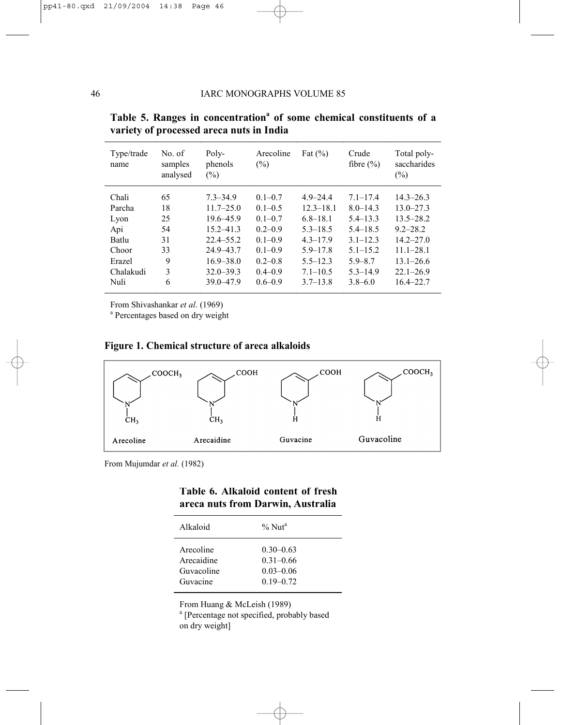| Type/trade<br>name                                                      | No. of<br>samples<br>analysed              | Poly-<br>phenols<br>$\frac{1}{2}$                                                                                                   | Arecoline<br>(%)                                                                                                     | Fat $(\% )$                                                                                                                   | Crude<br>fibre $(\% )$                                                                                                      | Total poly-<br>saccharides<br>(%)                                                                                                   |
|-------------------------------------------------------------------------|--------------------------------------------|-------------------------------------------------------------------------------------------------------------------------------------|----------------------------------------------------------------------------------------------------------------------|-------------------------------------------------------------------------------------------------------------------------------|-----------------------------------------------------------------------------------------------------------------------------|-------------------------------------------------------------------------------------------------------------------------------------|
| Chali<br>Parcha<br>Lyon<br>Api<br>Batlu<br>Choor<br>Erazel<br>Chalakudi | 65<br>18<br>25<br>54<br>31<br>33<br>9<br>3 | $7.3 - 34.9$<br>$11.7 - 25.0$<br>$19.6 - 45.9$<br>$15.2 - 41.3$<br>$22.4 - 55.2$<br>$24.9 - 43.7$<br>$16.9 - 38.0$<br>$32.0 - 39.3$ | $0.1 - 0.7$<br>$0.1 - 0.5$<br>$0.1 - 0.7$<br>$0.2 - 0.9$<br>$0.1 - 0.9$<br>$0.1 - 0.9$<br>$0.2 - 0.8$<br>$0.4 - 0.9$ | $4.9 - 24.4$<br>$12.3 - 18.1$<br>$6.8 - 18.1$<br>$5.3 - 18.5$<br>$4.3 - 17.9$<br>$5.9 - 17.8$<br>$5.5 - 12.3$<br>$7.1 - 10.5$ | $7.1 - 17.4$<br>$8.0 - 14.3$<br>$5.4 - 13.3$<br>$5.4 - 18.5$<br>$3.1 - 12.3$<br>$5.1 - 15.2$<br>$5.9 - 8.7$<br>$5.3 - 14.9$ | $14.3 - 26.3$<br>$13.0 - 27.3$<br>$13.5 - 28.2$<br>$9.2 - 28.2$<br>$14.2 - 27.0$<br>$11.1 - 28.1$<br>$13.1 - 26.6$<br>$22.1 - 26.9$ |
| Nuli                                                                    | 6                                          | $39.0 - 47.9$                                                                                                                       | $0.6 - 0.9$                                                                                                          | $3.7 - 13.8$                                                                                                                  | $3.8 - 6.0$                                                                                                                 | $16.4 - 22.7$                                                                                                                       |

|  | Table 5. Ranges in concentration <sup>a</sup> of some chemical constituents of a |  |  |  |
|--|----------------------------------------------------------------------------------|--|--|--|
|  | variety of processed areca nuts in India                                         |  |  |  |

From Shivashankar *et al.* (1969)

<sup>a</sup> Percentages based on dry weight

# **Figure 1. Chemical structure of areca alkaloids**



From Mujumdar *et al.* (1982)

# **Table 6. Alkaloid content of fresh areca nuts from Darwin, Australia**

| Alkaloid   | $\%$ Nut <sup>a</sup> |
|------------|-----------------------|
| Arecoline  | $0.30 - 0.63$         |
| Arecaidine | $0.31 - 0.66$         |
| Guvacoline | $0.03 - 0.06$         |
| Guvacine   | $0.19 - 0.72$         |

From Huang & McLeish (1989)

<sup>a</sup> [Percentage not specified, probably based on dry weight]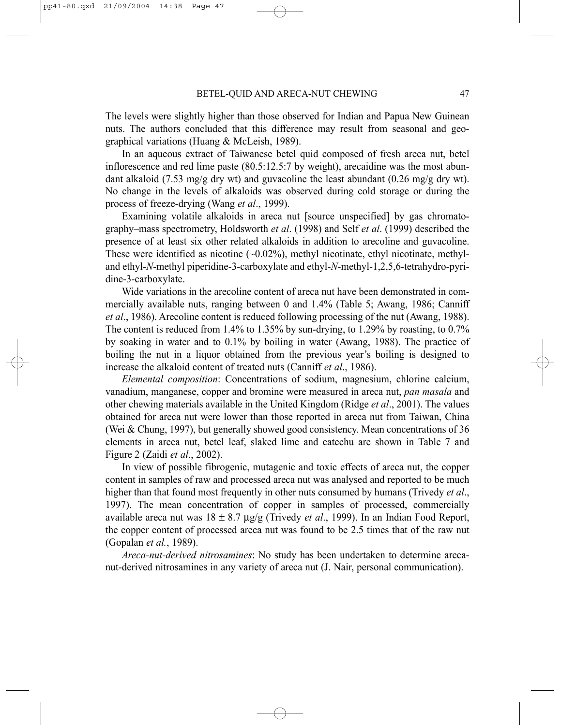The levels were slightly higher than those observed for Indian and Papua New Guinean nuts. The authors concluded that this difference may result from seasonal and geographical variations (Huang & McLeish, 1989).

In an aqueous extract of Taiwanese betel quid composed of fresh areca nut, betel inflorescence and red lime paste (80.5:12.5:7 by weight), arecaidine was the most abundant alkaloid (7.53 mg/g dry wt) and guvacoline the least abundant (0.26 mg/g dry wt). No change in the levels of alkaloids was observed during cold storage or during the process of freeze-drying (Wang *et al*., 1999).

Examining volatile alkaloids in areca nut [source unspecified] by gas chromatography–mass spectrometry, Holdsworth *et al*. (1998) and Self *et al*. (1999) described the presence of at least six other related alkaloids in addition to arecoline and guvacoline. These were identified as nicotine  $(-0.02\%)$ , methyl nicotinate, ethyl nicotinate, methyland ethyl-*N*-methyl piperidine-3-carboxylate and ethyl-*N*-methyl-1,2,5,6-tetrahydro-pyridine-3-carboxylate.

Wide variations in the arecoline content of areca nut have been demonstrated in commercially available nuts, ranging between 0 and 1.4% (Table 5; Awang, 1986; Canniff *et al*., 1986). Arecoline content is reduced following processing of the nut (Awang, 1988). The content is reduced from 1.4% to 1.35% by sun-drying, to 1.29% by roasting, to 0.7% by soaking in water and to 0.1% by boiling in water (Awang, 1988). The practice of boiling the nut in a liquor obtained from the previous year's boiling is designed to increase the alkaloid content of treated nuts (Canniff *et al*., 1986).

*Elemental composition*: Concentrations of sodium, magnesium, chlorine calcium, vanadium, manganese, copper and bromine were measured in areca nut, *pan masala* and other chewing materials available in the United Kingdom (Ridge *et al*., 2001). The values obtained for areca nut were lower than those reported in areca nut from Taiwan, China (Wei & Chung, 1997), but generally showed good consistency. Mean concentrations of 36 elements in areca nut, betel leaf, slaked lime and catechu are shown in Table 7 and Figure 2 (Zaidi *et al*., 2002).

In view of possible fibrogenic, mutagenic and toxic effects of areca nut, the copper content in samples of raw and processed areca nut was analysed and reported to be much higher than that found most frequently in other nuts consumed by humans (Trivedy *et al*., 1997). The mean concentration of copper in samples of processed, commercially available areca nut was 18 ± 8.7 µg/g (Trivedy *et al*., 1999). In an Indian Food Report, the copper content of processed areca nut was found to be 2.5 times that of the raw nut (Gopalan *et al.*, 1989).

*Areca-nut-derived nitrosamines*: No study has been undertaken to determine arecanut-derived nitrosamines in any variety of areca nut (J. Nair, personal communication).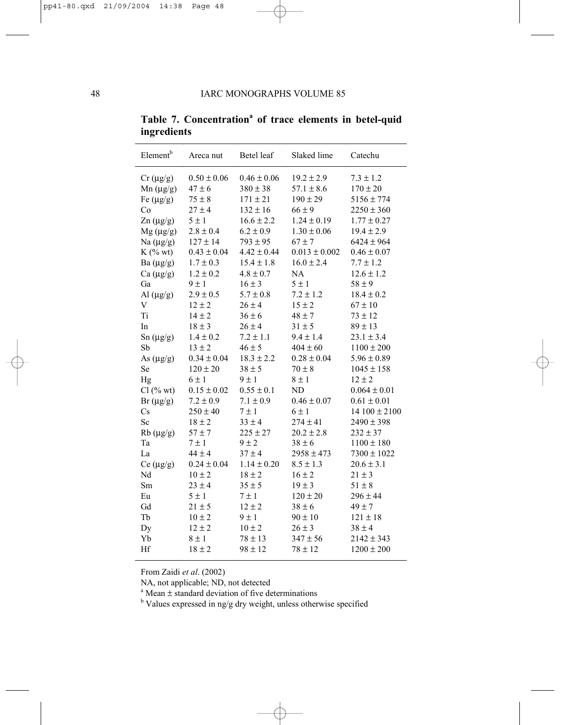| Element <sup>b</sup> | Areca nut       | Betel leaf      | Slaked lime       | Catechu          |
|----------------------|-----------------|-----------------|-------------------|------------------|
| $Cr \, (\mu g/g)$    | $0.50 \pm 0.06$ | $0.46 \pm 0.06$ | $19.2 \pm 2.9$    | $7.3 \pm 1.2$    |
| $Mn (\mu g/g)$       | $47 \pm 6$      | $380 \pm 38$    | $57.1 \pm 8.6$    | $170 \pm 20$     |
| Fe $(\mu g/g)$       | $75\pm8$        | $171 \pm 21$    | $190 \pm 29$      | $5156 \pm 774$   |
| Co                   | $27 \pm 4$      | $132 \pm 16$    | $66 \pm 9$        | $2250 \pm 360$   |
| $\text{Zn}$ (µg/g)   | $5 \pm 1$       | $16.6 \pm 2.2$  | $1.24 \pm 0.19$   | $1.77 \pm 0.27$  |
| $Mg(\mu g/g)$        | $2.8 \pm 0.4$   | $6.2 \pm 0.9$   | $1.30 \pm 0.06$   | $19.4 \pm 2.9$   |
| Na $(\mu g/g)$       | $127 \pm 14$    | $793 \pm 95$    | $67 \pm 7$        | $6424 \pm 964$   |
| $K$ (% wt)           | $0.43 \pm 0.04$ | $4.42 \pm 0.44$ | $0.013 \pm 0.002$ | $0.46 \pm 0.07$  |
| Ba $(\mu g/g)$       | $1.7 \pm 0.3$   | $15.4 \pm 1.8$  | $16.0 \pm 2.4$    | $7.7 \pm 1.2$    |
| Ca $(\mu g/g)$       | $1.2 \pm 0.2$   | $4.8 \pm 0.7$   | NA                | $12.6 \pm 1.2$   |
| Ga                   | $9 \pm 1$       | $16 \pm 3$      | $5 \pm 1$         | $58 \pm 9$       |
| Al $(\mu g/g)$       | $2.9 \pm 0.5$   | $5.7 \pm 0.8$   | $7.2 \pm 1.2$     | $18.4 \pm 0.2$   |
| V                    | $12 \pm 2$      | $26 \pm 4$      | $15 \pm 2$        | $67 \pm 10$      |
| Ti                   | $14 \pm 2$      | $36 \pm 6$      | $48 \pm 7$        | $73 \pm 12$      |
| In                   | $18 \pm 3$      | $26 \pm 4$      | $31 \pm 5$        | $89 \pm 13$      |
| $Sn(\mu g/g)$        | $1.4 \pm 0.2$   | $7.2 \pm 1.1$   | $9.4 \pm 1.4$     | $23.1 \pm 3.4$   |
| Sb                   | $13 \pm 2$      | $46 \pm 5$      | $404 \pm 60$      | $1100 \pm 200$   |
| As $(\mu g/g)$       | $0.34 \pm 0.04$ | $18.3 \pm 2.2$  | $0.28 \pm 0.04$   | $5.96 \pm 0.89$  |
| Se                   | $120 \pm 20$    | $38 \pm 5$      | $70\pm8$          | $1045 \pm 158$   |
| Hg                   | $6 \pm 1$       | $9 \pm 1$       | $8 \pm 1$         | $12 \pm 2$       |
| $Cl$ (% wt)          | $0.15 \pm 0.02$ | $0.55 \pm 0.1$  | ND                | $0.064 \pm 0.01$ |
| $Br(\mu g/g)$        | $7.2 \pm 0.9$   | $7.1 \pm 0.9$   | $0.46 \pm 0.07$   | $0.61 \pm 0.01$  |
| Cs                   | $250 \pm 40$    | $7 \pm 1$       | $6 \pm 1$         | $14100 \pm 2100$ |
| Sc                   | $18 \pm 2$      | $33 \pm 4$      | $274 \pm 41$      | $2490 \pm 398$   |
| $Rb (\mu g/g)$       | $57 + 7$        | $225 \pm 27$    | $20.2 \pm 2.8$    | $232 \pm 37$     |
| Ta                   | $7 \pm 1$       | $9 \pm 2$       | $38 \pm 6$        | $1100 \pm 180$   |
| La                   | $44 \pm 4$      | $37 \pm 4$      | $2958 \pm 473$    | $7300 \pm 1022$  |
| $Ce (\mu g/g)$       | $0.24 \pm 0.04$ | $1.14 \pm 0.20$ | $8.5 \pm 1.3$     | $20.6 \pm 3.1$   |
| Nd                   | $10\pm2$        | $18 \pm 2$      | $16 \pm 2$        | $21 \pm 3$       |
| Sm                   | $23 \pm 4$      | $35 \pm 5$      | $19 \pm 3$        | $51 \pm 8$       |
| Eu                   | $5 \pm 1$       | $7 \pm 1$       | $120 \pm 20$      | $296 \pm 44$     |
| Gd                   | $21 \pm 5$      | $12 \pm 2$      | $38 \pm 6$        | $49 \pm 7$       |
| Tb                   | $10 \pm 2$      | $9 \pm 1$       | $90 \pm 10$       | $121 \pm 18$     |
| Dy                   | $12 \pm 2$      | $10 \pm 2$      | $26 \pm 3$        | $38 \pm 4$       |
| Yb                   | $8 \pm 1$       | $78 \pm 13$     | $347 \pm 56$      | $2142 \pm 343$   |
| Hf                   | $18 \pm 2$      | $98 \pm 12$     | $78 \pm 12$       | $1200 \pm 200$   |

Table 7. Concentration<sup>a</sup> of trace elements in betel-quid **ingredients** 

From Zaidi *et al*. (2002)

NA, not applicable; ND, not detected

<sup>a</sup> Mean  $\pm$  standard deviation of five determinations

<sup>b</sup> Values expressed in ng/g dry weight, unless otherwise specified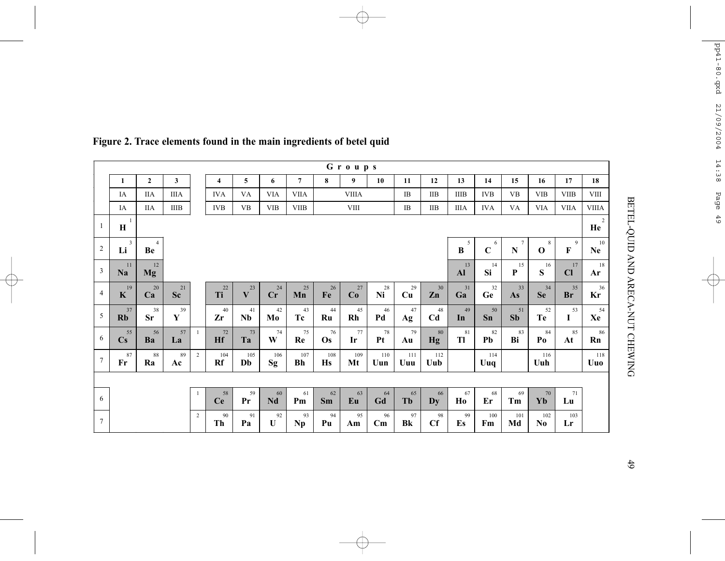| Groups                  |                              |                      |                 |                |                 |                 |            |                |                 |              |                              |            |                              |                     |                  |                              |                  |                 |                 |
|-------------------------|------------------------------|----------------------|-----------------|----------------|-----------------|-----------------|------------|----------------|-----------------|--------------|------------------------------|------------|------------------------------|---------------------|------------------|------------------------------|------------------|-----------------|-----------------|
|                         | 1                            | $\overline{2}$       | 3               |                | 4               | 5               | 6          | $\overline{7}$ | 8               | 9            | 10                           | 11         | 12                           | 13                  | 14               | 15                           | 16               | 17              | 18              |
|                         | IA                           | <b>IIA</b>           | <b>IIIA</b>     |                | <b>IVA</b>      | VA              | <b>VIA</b> | <b>VIIA</b>    |                 | <b>VIIIA</b> |                              | IB         | <b>IIB</b>                   | <b>IIIB</b>         | <b>IVB</b>       | <b>VB</b>                    | <b>VIB</b>       | <b>VIIB</b>     | <b>VIII</b>     |
|                         | IA                           | <b>IIA</b>           | IIIB            |                | <b>IVB</b>      | $_{\rm VB}$     | <b>VIB</b> | <b>VIIB</b>    |                 | <b>VIII</b>  |                              | IB         | <b>IIB</b>                   | <b>IIIA</b>         | <b>IVA</b>       | VA                           | <b>VIA</b>       | <b>VIIA</b>     | <b>VIIIA</b>    |
| 1                       | $\bf H$                      |                      |                 |                |                 |                 |            |                |                 |              |                              | 2<br>He    |                              |                     |                  |                              |                  |                 |                 |
| $\sqrt{2}$              | 3<br>Li                      | $\overline{4}$<br>Be |                 |                |                 |                 |            |                |                 |              |                              |            |                              | 5<br>B              | 6<br>$\mathbf C$ | $7\phantom{.0}$<br>${\bf N}$ | 8<br>$\mathbf 0$ | 9<br>F          | 10<br><b>Ne</b> |
| $\overline{\mathbf{3}}$ | 11<br>Na                     | 12<br><b>Mg</b>      |                 |                |                 |                 |            |                |                 |              |                              |            |                              | 13<br>$\mathbf{Al}$ | 14<br>Si         | 15<br>P                      | 16<br>${\bf S}$  | 17<br>Cl        | 18<br>Ar        |
| $\overline{4}$          | 19<br>$\mathbf{K}$           | 20<br>Ca             | 21<br><b>Sc</b> |                | $22\,$<br>Ti    | 23<br>V         | 24<br>Cr   | $25\,$<br>Mn   | 26<br>Fe        | $27\,$<br>Co | 28<br>Ni                     | 29<br>Cu   | 30<br>Zn                     | 31<br>Ga            | 32<br>Ge         | 33<br>As                     | 34<br><b>Se</b>  | 35<br><b>Br</b> | 36<br>Kr        |
| 5                       | 37<br>Rb                     | 38<br><b>Sr</b>      | 39<br>Y         |                | 40<br>Zr        | 41<br><b>Nb</b> | 42<br>Mo   | 43<br>Tc       | $44\,$<br>Ru    | 45<br>Rh     | 46<br>Pd                     | 47<br>Ag   | 48<br>C <sub>d</sub>         | 49<br>In            | 50<br>Sn         | 51<br>Sb                     | 52<br>Te         | 53<br>I         | 54<br>Xe        |
| 6                       | 55<br>$\mathbf{C}\mathbf{s}$ | 56<br>Ba             | 57<br>La        | $\mathbf{1}$   | 72<br><b>Hf</b> | 73<br>Ta        | 74<br>W    | 75<br>Re       | 76<br><b>Os</b> | 77<br>Ir     | 78<br>Pt                     | 79<br>Au   | 80<br>Hg                     | 81<br>Tl            | 82<br>Pb         | 83<br>Bi                     | 84<br>Po         | 85<br>At        | 86<br>Rn        |
| $\tau$                  | 87<br>$\mathbf{Fr}$          | 88<br>Ra             | 89<br>Ac        | $\overline{2}$ | 104<br>Rf       | 105<br>Db       | 106<br>Sg  | 107<br>Bh      | 108<br>Hs       | 109<br>Mt    | 110<br>Uun                   | 111<br>Uuu | 112<br>Uub                   |                     | 114<br>Uuq       |                              | 116<br>Uuh       |                 | 118<br>Uuo      |
|                         |                              |                      |                 |                |                 |                 |            |                |                 |              |                              |            |                              |                     |                  |                              |                  |                 |                 |
| 6                       |                              |                      |                 | 1              | 58<br><b>Ce</b> | 59<br>Pr        | 60<br>Nd   | 61<br>Pm       | 62<br><b>Sm</b> | 63<br>Eu     | 64<br>Gd                     | 65<br>Tb   | 66<br>$\mathbf{D}\mathbf{v}$ | 67<br>Ho            | 68<br>Er         | 69<br>Tm                     | 70<br>Yb         | 71<br>Lu        |                 |
| $\tau$                  |                              |                      |                 | $\overline{c}$ | 90<br>Th        | 91<br>Pa        | 92<br>U    | 93<br>Np       | 94<br>Pu        | 95<br>Am     | 96<br>$\mathbf{C}\mathbf{m}$ | 97<br>Bk   | 98<br>Cf                     | 99<br>Es            | 100<br>Fm        | 101<br>Md                    | 102<br>No        | 103<br>Lr       |                 |

# **Figure 2. Trace elements found in the main ingredients of betel quid**

BETEL-QUID AND ARECA-NUT CHEWING

BETEL-QUID AND ARECA-NUT CHEWING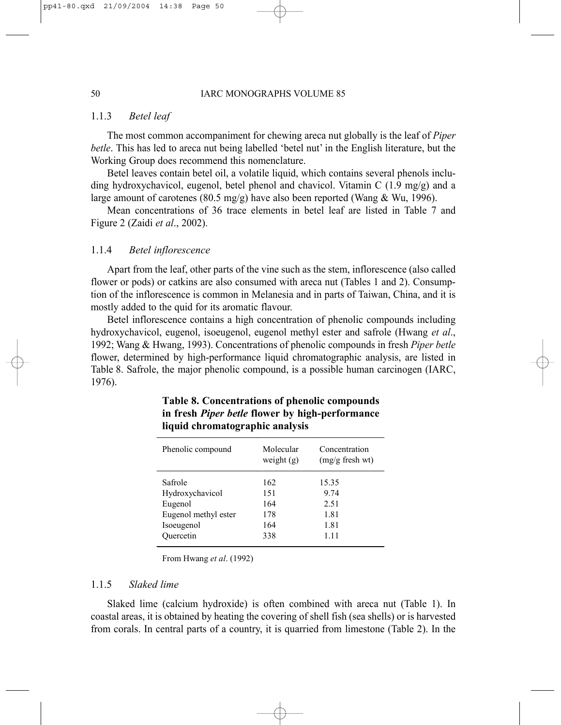#### 1.1.3 *Betel leaf*

The most common accompaniment for chewing areca nut globally is the leaf of *Piper betle*. This has led to areca nut being labelled 'betel nut' in the English literature, but the Working Group does recommend this nomenclature.

Betel leaves contain betel oil, a volatile liquid, which contains several phenols including hydroxychavicol, eugenol, betel phenol and chavicol. Vitamin C (1.9 mg/g) and a large amount of carotenes (80.5 mg/g) have also been reported (Wang & Wu, 1996).

Mean concentrations of 36 trace elements in betel leaf are listed in Table 7 and Figure 2 (Zaidi *et al*., 2002).

# 1.1.4 *Betel inflorescence*

Apart from the leaf, other parts of the vine such as the stem, inflorescence (also called flower or pods) or catkins are also consumed with areca nut (Tables 1 and 2). Consumption of the inflorescence is common in Melanesia and in parts of Taiwan, China, and it is mostly added to the quid for its aromatic flavour.

Betel inflorescence contains a high concentration of phenolic compounds including hydroxychavicol, eugenol, isoeugenol, eugenol methyl ester and safrole (Hwang *et al*., 1992; Wang & Hwang, 1993). Concentrations of phenolic compounds in fresh *Piper betle* flower, determined by high-performance liquid chromatographic analysis, are listed in Table 8. Safrole, the major phenolic compound, is a possible human carcinogen (IARC, 1976).

| Phenolic compound    | Molecular<br>weight $(g)$ | Concentration<br>$(mg/g$ fresh wt) |
|----------------------|---------------------------|------------------------------------|
| Safrole              | 162                       | 15.35                              |
| Hydroxychavicol      | 151                       | 9 74                               |
| Eugenol              | 164                       | 2.51                               |
| Eugenol methyl ester | 178                       | 1.81                               |
| Isoeugenol           | 164                       | 1.81                               |
| Ouercetin            | 338                       | 1.11                               |

# **Table 8. Concentrations of phenolic compounds in fresh** *Piper betle* **flower by high-performance liquid chromatographic analysis**

From Hwang *et al*. (1992)

#### 1.1.5 *Slaked lime*

Slaked lime (calcium hydroxide) is often combined with areca nut (Table 1). In coastal areas, it is obtained by heating the covering of shell fish (sea shells) or is harvested from corals. In central parts of a country, it is quarried from limestone (Table 2). In the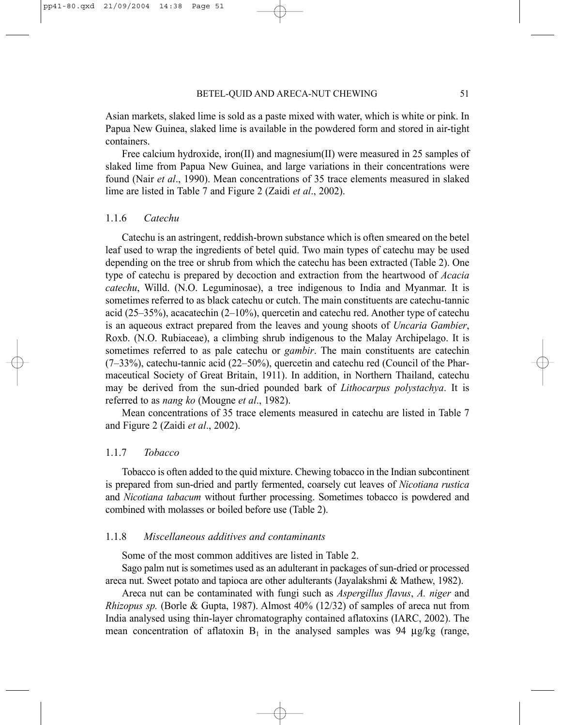Asian markets, slaked lime is sold as a paste mixed with water, which is white or pink. In Papua New Guinea, slaked lime is available in the powdered form and stored in air-tight containers.

Free calcium hydroxide, iron(II) and magnesium(II) were measured in 25 samples of slaked lime from Papua New Guinea, and large variations in their concentrations were found (Nair *et al*., 1990). Mean concentrations of 35 trace elements measured in slaked lime are listed in Table 7 and Figure 2 (Zaidi *et al*., 2002).

# 1.1.6 *Catechu*

Catechu is an astringent, reddish-brown substance which is often smeared on the betel leaf used to wrap the ingredients of betel quid. Two main types of catechu may be used depending on the tree or shrub from which the catechu has been extracted (Table 2). One type of catechu is prepared by decoction and extraction from the heartwood of *Acacia catechu*, Willd. (N.O. Leguminosae), a tree indigenous to India and Myanmar. It is sometimes referred to as black catechu or cutch. The main constituents are catechu-tannic acid (25–35%), acacatechin (2–10%), quercetin and catechu red. Another type of catechu is an aqueous extract prepared from the leaves and young shoots of *Uncaria Gambier*, Roxb. (N.O. Rubiaceae), a climbing shrub indigenous to the Malay Archipelago. It is sometimes referred to as pale catechu or *gambir*. The main constituents are catechin  $(7-33%)$ , catechu-tannic acid  $(22-50%)$ , quercetin and catechu red (Council of the Pharmaceutical Society of Great Britain, 1911). In addition, in Northern Thailand, catechu may be derived from the sun-dried pounded bark of *Lithocarpus polystachya*. It is referred to as *nang ko* (Mougne *et al*., 1982).

Mean concentrations of 35 trace elements measured in catechu are listed in Table 7 and Figure 2 (Zaidi *et al*., 2002).

#### 1.1.7 *Tobacco*

Tobacco is often added to the quid mixture. Chewing tobacco in the Indian subcontinent is prepared from sun-dried and partly fermented, coarsely cut leaves of *Nicotiana rustica* and *Nicotiana tabacum* without further processing. Sometimes tobacco is powdered and combined with molasses or boiled before use (Table 2).

#### 1.1.8 *Miscellaneous additives and contaminants*

Some of the most common additives are listed in Table 2.

Sago palm nut is sometimes used as an adulterant in packages of sun-dried or processed areca nut. Sweet potato and tapioca are other adulterants (Jayalakshmi & Mathew, 1982).

Areca nut can be contaminated with fungi such as *Aspergillus flavus*, *A. niger* and *Rhizopus sp.* (Borle & Gupta, 1987). Almost 40% (12/32) of samples of areca nut from India analysed using thin-layer chromatography contained aflatoxins (IARC, 2002). The mean concentration of aflatoxin  $B_1$  in the analysed samples was 94  $\mu$ g/kg (range,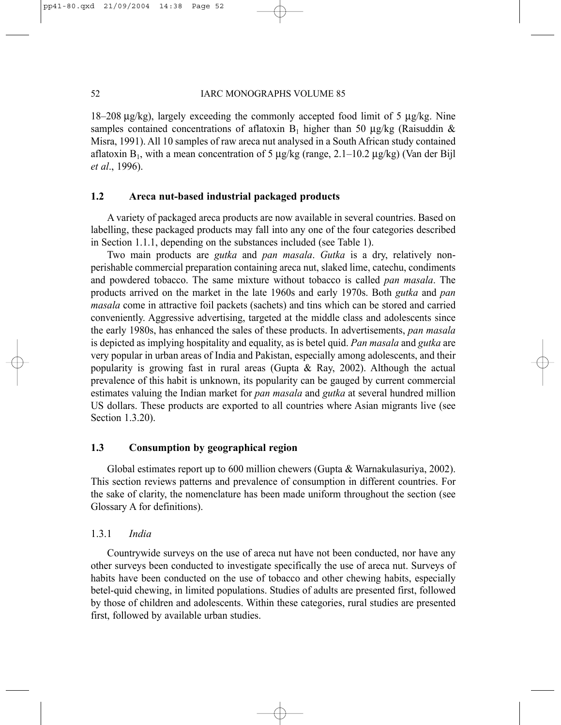#### 52 IARC MONOGRAPHS VOLUME 85

18–208  $\mu$ g/kg), largely exceeding the commonly accepted food limit of 5  $\mu$ g/kg. Nine samples contained concentrations of aflatoxin  $B_1$  higher than 50 µg/kg (Raisuddin & Misra, 1991). All 10 samples of raw areca nut analysed in a South African study contained aflatoxin  $B_1$ , with a mean concentration of 5  $\mu$ g/kg (range, 2.1–10.2  $\mu$ g/kg) (Van der Bijl *et al*., 1996).

# **1.2 Areca nut-based industrial packaged products**

A variety of packaged areca products are now available in several countries. Based on labelling, these packaged products may fall into any one of the four categories described in Section 1.1.1, depending on the substances included (see Table 1).

Two main products are *gutka* and *pan masala*. *Gutka* is a dry, relatively nonperishable commercial preparation containing areca nut, slaked lime, catechu, condiments and powdered tobacco. The same mixture without tobacco is called *pan masala*. The products arrived on the market in the late 1960s and early 1970s. Both *gutka* and *pan masala* come in attractive foil packets (sachets) and tins which can be stored and carried conveniently. Aggressive advertising, targeted at the middle class and adolescents since the early 1980s, has enhanced the sales of these products. In advertisements, *pan masala* is depicted as implying hospitality and equality, as is betel quid. *Pan masala* and *gutka* are very popular in urban areas of India and Pakistan, especially among adolescents, and their popularity is growing fast in rural areas (Gupta & Ray, 2002). Although the actual prevalence of this habit is unknown, its popularity can be gauged by current commercial estimates valuing the Indian market for *pan masala* and *gutka* at several hundred million US dollars. These products are exported to all countries where Asian migrants live (see Section 1.3.20).

#### **1.3 Consumption by geographical region**

Global estimates report up to 600 million chewers (Gupta & Warnakulasuriya, 2002). This section reviews patterns and prevalence of consumption in different countries. For the sake of clarity, the nomenclature has been made uniform throughout the section (see Glossary A for definitions).

#### 1.3.1 *India*

Countrywide surveys on the use of areca nut have not been conducted, nor have any other surveys been conducted to investigate specifically the use of areca nut. Surveys of habits have been conducted on the use of tobacco and other chewing habits, especially betel-quid chewing, in limited populations. Studies of adults are presented first, followed by those of children and adolescents. Within these categories, rural studies are presented first, followed by available urban studies.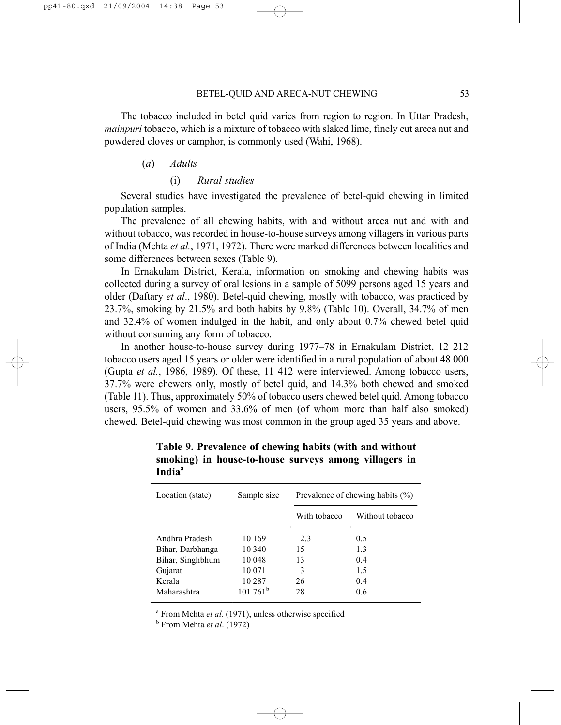The tobacco included in betel quid varies from region to region. In Uttar Pradesh, *mainpuri* tobacco, which is a mixture of tobacco with slaked lime, finely cut areca nut and powdered cloves or camphor, is commonly used (Wahi, 1968).

#### (*a*) *Adults*

### (i) *Rural studies*

Several studies have investigated the prevalence of betel-quid chewing in limited population samples.

The prevalence of all chewing habits, with and without areca nut and with and without tobacco, was recorded in house-to-house surveys among villagers in various parts of India (Mehta *et al.*, 1971, 1972). There were marked differences between localities and some differences between sexes (Table 9).

In Ernakulam District, Kerala, information on smoking and chewing habits was collected during a survey of oral lesions in a sample of 5099 persons aged 15 years and older (Daftary *et al*., 1980). Betel-quid chewing, mostly with tobacco, was practiced by 23.7%, smoking by 21.5% and both habits by 9.8% (Table 10). Overall, 34.7% of men and 32.4% of women indulged in the habit, and only about 0.7% chewed betel quid without consuming any form of tobacco.

In another house-to-house survey during 1977–78 in Ernakulam District, 12 212 tobacco users aged 15 years or older were identified in a rural population of about 48 000 (Gupta *et al.*, 1986, 1989). Of these, 11 412 were interviewed. Among tobacco users, 37.7% were chewers only, mostly of betel quid, and 14.3% both chewed and smoked (Table 11). Thus, approximately 50% of tobacco users chewed betel quid. Among tobacco users, 95.5% of women and 33.6% of men (of whom more than half also smoked) chewed. Betel-quid chewing was most common in the group aged 35 years and above.

| Location (state) | Sample size      | Prevalence of chewing habits (%) |                 |  |  |  |
|------------------|------------------|----------------------------------|-----------------|--|--|--|
|                  |                  | With tobacco                     | Without tobacco |  |  |  |
| Andhra Pradesh   | 10 169           | 2.3                              | 0.5             |  |  |  |
| Bihar, Darbhanga | 10 340           | 15                               | 13              |  |  |  |
| Bihar, Singhbhum | 10 048           | 13                               | 0.4             |  |  |  |
| Gujarat          | 10 071           | 3                                | 1.5             |  |  |  |
| Kerala           | 10 287           | 26                               | 0.4             |  |  |  |
| Maharashtra      | $101761^{\rm b}$ | 28                               | 0.6             |  |  |  |

**Table 9. Prevalence of chewing habits (with and without smoking) in house-to-house surveys among villagers in India<sup>a</sup>**

<sup>a</sup> From Mehta *et al.* (1971), unless otherwise specified

b From Mehta *et al*. (1972)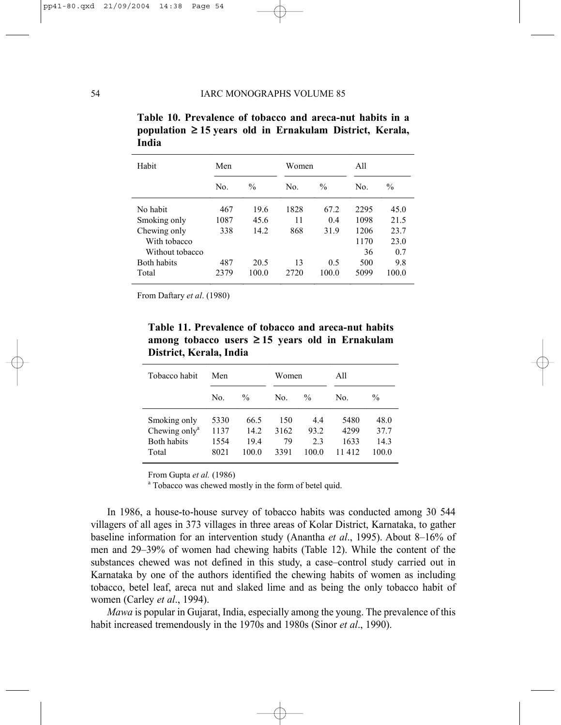| Habit              | Men  |                      | Women |               | A11  |               |  |
|--------------------|------|----------------------|-------|---------------|------|---------------|--|
|                    | No.  | $\frac{0}{0}$<br>No. |       | $\frac{0}{0}$ | No.  | $\frac{0}{0}$ |  |
| No habit           | 467  | 19.6                 | 1828  | 67.2          | 2295 | 45.0          |  |
| Smoking only       | 1087 | 45.6                 | 11    | 0.4           | 1098 | 21.5          |  |
| Chewing only       | 338  | 14.2                 | 868   | 31.9          | 1206 | 23.7          |  |
| With tobacco       |      |                      |       |               | 1170 | 23.0          |  |
| Without tobacco    |      |                      |       |               | 36   | 0.7           |  |
| <b>Both habits</b> | 487  | 20.5                 | 13    | 0.5           | 500  | 9.8           |  |
| Total              | 2379 | 100.0                | 2720  | 100.0         | 5099 | 100.0         |  |

|       |  | Table 10. Prevalence of tobacco and areca-nut habits in a     |  |
|-------|--|---------------------------------------------------------------|--|
|       |  | population $\geq 15$ years old in Ernakulam District, Kerala, |  |
| India |  |                                                               |  |

From Daftary *et al*. (1980)

**Table 11. Prevalence of tobacco and areca-nut habits among tobacco users** ≥ **15 years old in Ernakulam District, Kerala, India**

| Tobacco habit                                                            | Men                          |                               | Women                     |                            | All                             |                               |
|--------------------------------------------------------------------------|------------------------------|-------------------------------|---------------------------|----------------------------|---------------------------------|-------------------------------|
|                                                                          | No.                          | $\frac{0}{0}$                 | No.                       | $\frac{0}{0}$              | No.                             | $\frac{0}{0}$                 |
| Smoking only<br>Chewing only <sup>a</sup><br><b>Both habits</b><br>Total | 5330<br>1137<br>1554<br>8021 | 66.5<br>14.2<br>19.4<br>100 0 | 150<br>3162<br>79<br>3391 | 44<br>93.2<br>2.3<br>100 0 | 5480<br>42.99<br>1633<br>11 412 | 48.0<br>37.7<br>14.3<br>100 0 |

From Gupta *et al.* (1986)

<sup>a</sup> Tobacco was chewed mostly in the form of betel quid.

In 1986, a house-to-house survey of tobacco habits was conducted among 30 544 villagers of all ages in 373 villages in three areas of Kolar District, Karnataka, to gather baseline information for an intervention study (Anantha *et al*., 1995). About 8–16% of men and 29–39% of women had chewing habits (Table 12). While the content of the substances chewed was not defined in this study, a case–control study carried out in Karnataka by one of the authors identified the chewing habits of women as including tobacco, betel leaf, areca nut and slaked lime and as being the only tobacco habit of women (Carley *et al*., 1994).

*Mawa* is popular in Gujarat, India, especially among the young. The prevalence of this habit increased tremendously in the 1970s and 1980s (Sinor *et al*., 1990).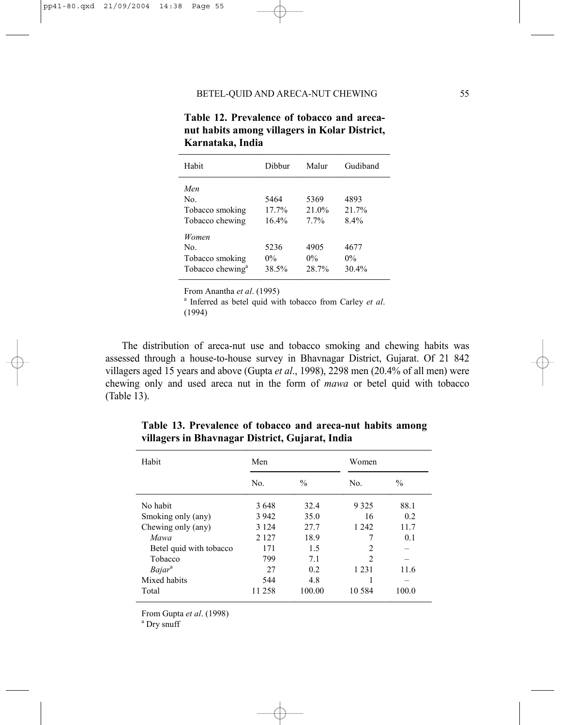| Habit                                                           | Dibbur                 | Malur                  | Gudiband               |
|-----------------------------------------------------------------|------------------------|------------------------|------------------------|
| Men<br>No.<br>Tobacco smoking<br>Tobacco chewing                | 5464<br>17.7%<br>16.4% | 5369<br>21.0%<br>7.7%  | 4893<br>21.7%<br>8.4%  |
| Women<br>No.<br>Tobacco smoking<br>Tobacco chewing <sup>a</sup> | 5236<br>$0\%$<br>38.5% | 4905<br>$0\%$<br>28.7% | 4677<br>$0\%$<br>30.4% |

**Table 12. Prevalence of tobacco and arecanut habits among villagers in Kolar District, Karnataka, India** 

From Anantha *et al.* (1995)

<sup>a</sup> Inferred as betel quid with tobacco from Carley *et al.* (1994)

The distribution of areca-nut use and tobacco smoking and chewing habits was assessed through a house-to-house survey in Bhavnagar District, Gujarat. Of 21 842 villagers aged 15 years and above (Gupta *et al*., 1998), 2298 men (20.4% of all men) were chewing only and used areca nut in the form of *mawa* or betel quid with tobacco (Table 13).

| Habit                     | Men     |               | Women          |               |  |  |
|---------------------------|---------|---------------|----------------|---------------|--|--|
|                           | No.     | $\frac{0}{0}$ | No.            | $\frac{0}{0}$ |  |  |
| No habit                  | 3648    | 32.4          | 9 3 2 5        | 88.1          |  |  |
| Smoking only (any)        | 3 9 4 2 | 35.0          | 16             | 0.2           |  |  |
| Chewing only (any)        | 3 1 2 4 | 27.7          | 1 2 4 2        | 11.7          |  |  |
| Mawa                      | 2 1 2 7 | 18.9          | 7              | 0.1           |  |  |
| Betel quid with tobacco   | 171     | 1.5           | $\overline{c}$ |               |  |  |
| Tobacco                   | 799     | 7.1           | $\overline{c}$ |               |  |  |
| <i>Bajar</i> <sup>a</sup> | 27      | 0.2           | 1 2 3 1        | 11.6          |  |  |
| Mixed habits              | 544     | 4.8           |                |               |  |  |
| Total                     | 11 258  | 100.00        | 10.584         | 100.0         |  |  |

**Table 13. Prevalence of tobacco and areca-nut habits among villagers in Bhavnagar District, Gujarat, India**

From Gupta *et al*. (1998)

<sup>a</sup> Dry snuff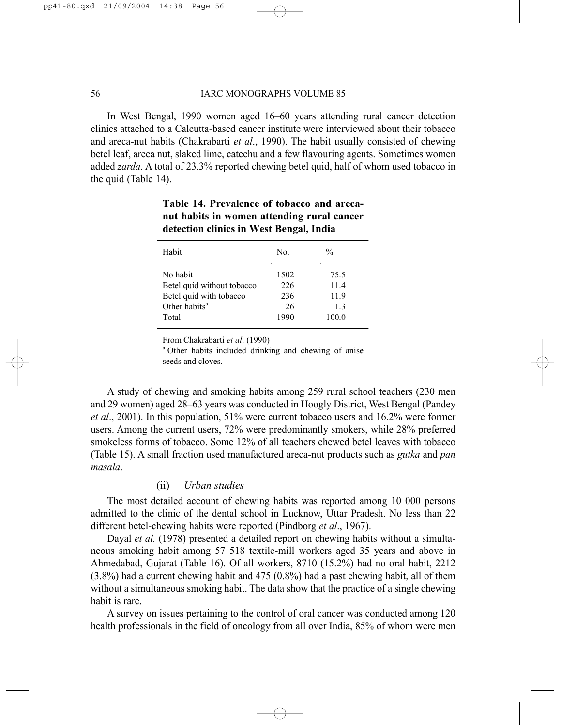#### 56 IARC MONOGRAPHS VOLUME 85

In West Bengal, 1990 women aged 16–60 years attending rural cancer detection clinics attached to a Calcutta-based cancer institute were interviewed about their tobacco and areca-nut habits (Chakrabarti *et al*., 1990). The habit usually consisted of chewing betel leaf, areca nut, slaked lime, catechu and a few flavouring agents. Sometimes women added *zarda*. A total of 23.3% reported chewing betel quid, half of whom used tobacco in the quid (Table 14).

| Habit                      | No.  | $\frac{0}{0}$ |  |
|----------------------------|------|---------------|--|
| No habit                   | 1502 | 75.5          |  |
| Betel quid without tobacco | 226  | 11.4          |  |
| Betel quid with tobacco    | 236  | 11.9          |  |
| Other habits <sup>a</sup>  | 26   | 13            |  |
| Total                      | 1990 | 100.0         |  |

# **Table 14. Prevalence of tobacco and arecanut habits in women attending rural cancer detection clinics in West Bengal, India**

From Chakrabarti et al. (1990)

<sup>a</sup> Other habits included drinking and chewing of anise seeds and cloves.

A study of chewing and smoking habits among 259 rural school teachers (230 men and 29 women) aged 28–63 years was conducted in Hoogly District, West Bengal (Pandey *et al*., 2001). In this population, 51% were current tobacco users and 16.2% were former users. Among the current users, 72% were predominantly smokers, while 28% preferred smokeless forms of tobacco. Some 12% of all teachers chewed betel leaves with tobacco (Table 15). A small fraction used manufactured areca-nut products such as *gutka* and *pan masala*.

# (ii) *Urban studies*

The most detailed account of chewing habits was reported among 10 000 persons admitted to the clinic of the dental school in Lucknow, Uttar Pradesh. No less than 22 different betel-chewing habits were reported (Pindborg *et al*., 1967).

Dayal *et al.* (1978) presented a detailed report on chewing habits without a simultaneous smoking habit among 57 518 textile-mill workers aged 35 years and above in Ahmedabad, Gujarat (Table 16). Of all workers, 8710 (15.2%) had no oral habit, 2212 (3.8%) had a current chewing habit and 475 (0.8%) had a past chewing habit, all of them without a simultaneous smoking habit. The data show that the practice of a single chewing habit is rare.

A survey on issues pertaining to the control of oral cancer was conducted among 120 health professionals in the field of oncology from all over India, 85% of whom were men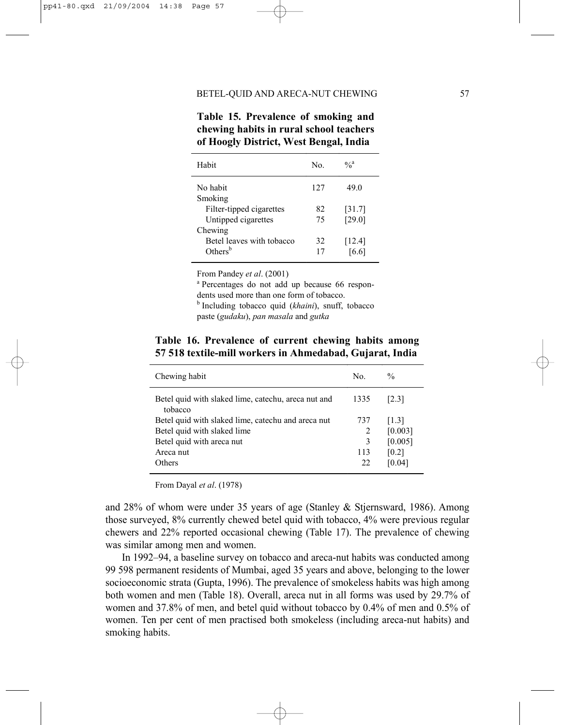| of Hoogly District, West Bengal, India |     |               |  |  |  |  |
|----------------------------------------|-----|---------------|--|--|--|--|
| Habit                                  | No. | $\frac{0}{a}$ |  |  |  |  |
| No habit                               | 127 | 49.0          |  |  |  |  |
| Smoking                                |     |               |  |  |  |  |
| Filter-tipped cigarettes               | 82  | [31.7]        |  |  |  |  |
| Untipped cigarettes                    | 75  | [29.0]        |  |  |  |  |
| Chewing                                |     |               |  |  |  |  |
| Betel leaves with tobacco              | 32  | [12.4]        |  |  |  |  |
| Others <sup>b</sup>                    | 17  | [6.6]         |  |  |  |  |

**Table 15. Prevalence of smoking and chewing habits in rural school teachers** 

From Pandey *et al.* (2001)

<sup>a</sup> Percentages do not add up because 66 respondents used more than one form of tobacco. <sup>b</sup> Including tobacco quid (*khaini*), snuff, tobacco

paste (*gudaku*), *pan masala* and *gutka*

**Table 16. Prevalence of current chewing habits among 57 518 textile-mill workers in Ahmedabad, Gujarat, India**

| Chewing habit                                                  | No.  | $\frac{0}{0}$       |
|----------------------------------------------------------------|------|---------------------|
| Betel quid with slaked lime, catechu, areca nut and<br>tobacco | 1335 | [2.3]               |
| Betel quid with slaked lime, cate chu and are ca nut           | 737  | $\lceil 1.3 \rceil$ |
| Betel quid with slaked lime                                    | 2    | [0.003]             |
| Betel quid with areca nut                                      | 3    | [0.005]             |
| Areca nut                                                      | 113  | [0.2]               |
| <b>Others</b>                                                  | 22   | [0.04]              |
|                                                                |      |                     |

From Dayal *et al*. (1978)

and 28% of whom were under 35 years of age (Stanley & Stjernsward, 1986). Among those surveyed, 8% currently chewed betel quid with tobacco, 4% were previous regular chewers and 22% reported occasional chewing (Table 17). The prevalence of chewing was similar among men and women.

In 1992–94, a baseline survey on tobacco and areca-nut habits was conducted among 99 598 permanent residents of Mumbai, aged 35 years and above, belonging to the lower socioeconomic strata (Gupta, 1996). The prevalence of smokeless habits was high among both women and men (Table 18). Overall, areca nut in all forms was used by 29.7% of women and 37.8% of men, and betel quid without tobacco by 0.4% of men and 0.5% of women. Ten per cent of men practised both smokeless (including areca-nut habits) and smoking habits.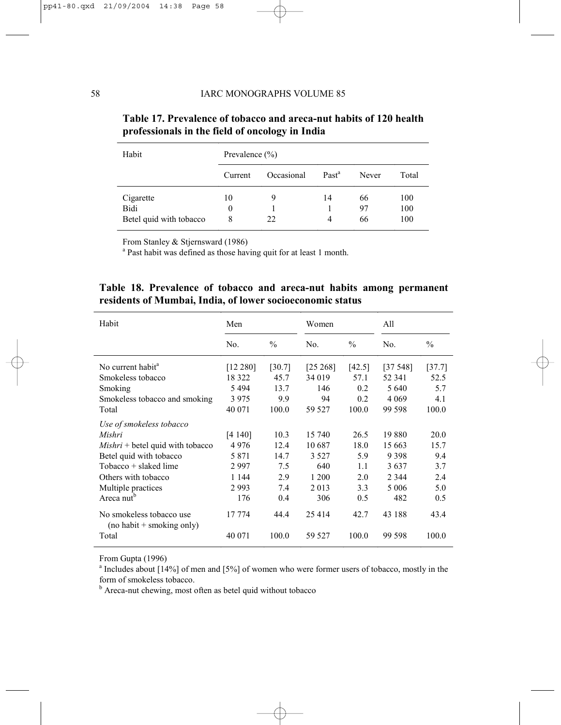| Habit                   | Prevalence $(\% )$ |            |                   |       |       |  |
|-------------------------|--------------------|------------|-------------------|-------|-------|--|
|                         | Current            | Occasional | Past <sup>a</sup> | Never | Total |  |
| Cigarette               | 10                 | 9          | 14                | 66    | 100   |  |
| Bidi                    | $\theta$           |            |                   | 97    | 100   |  |
| Betel quid with tobacco | 8                  | 22         | 4                 | 66    | 100   |  |

# **Table 17. Prevalence of tobacco and areca-nut habits of 120 health professionals in the field of oncology in India**

From Stanley & Stjernsward (1986)

<sup>a</sup> Past habit was defined as those having quit for at least 1 month.

|  |                                                           |  |  |  | Table 18. Prevalence of tobacco and areca-nut habits among permanent |
|--|-----------------------------------------------------------|--|--|--|----------------------------------------------------------------------|
|  | residents of Mumbai, India, of lower socioeconomic status |  |  |  |                                                                      |

| Habit                                                   | Men      |               |             | Women         |         | All           |  |
|---------------------------------------------------------|----------|---------------|-------------|---------------|---------|---------------|--|
|                                                         | No.      | $\frac{0}{0}$ | No.         | $\frac{0}{0}$ | No.     | $\frac{0}{0}$ |  |
| No current habit <sup>a</sup>                           | [12 280] | [30.7]        | $[25\,268]$ | [42.5]        | [37548] | [37.7]        |  |
| Smokeless tobacco                                       | 18 322   | 45.7          | 34 019      | 57.1          | 52 341  | 52.5          |  |
| Smoking                                                 | 5494     | 13.7          | 146         | 0.2           | 5 6 4 0 | 5.7           |  |
| Smokeless tobacco and smoking                           | 3975     | 9.9           | 94          | 0.2           | 4 0 6 9 | 4.1           |  |
| Total                                                   | 40 071   | 100.0         | 59 527      | 100.0         | 99 598  | 100.0         |  |
| Use of smokeless tobacco                                |          |               |             |               |         |               |  |
| Mishri                                                  | [4 140]  | 10.3          | 15 740      | 26.5          | 19880   | 20.0          |  |
| $Mishri + betel$ quid with tobacco                      | 4976     | 12.4          | 10687       | 18.0          | 15 663  | 15.7          |  |
| Betel quid with tobacco                                 | 5 8 7 1  | 14.7          | 3 5 2 7     | 5.9           | 9398    | 9.4           |  |
| $To bacco + slaked$ lime                                | 2997     | 7.5           | 640         | 1.1           | 3637    | 3.7           |  |
| Others with tobacco                                     | 1 1 4 4  | 2.9           | 1 200       | 2.0           | 2 3 4 4 | 2.4           |  |
| Multiple practices                                      | 2993     | 7.4           | 2 0 1 3     | 3.3           | 5 0 0 6 | 5.0           |  |
| Areca nut <sup>b</sup>                                  | 176      | 0.4           | 306         | 0.5           | 482     | 0.5           |  |
| No smokeless tobacco use<br>$(no habit + smoking only)$ | 17 774   | 44.4          | 25414       | 42.7          | 43 188  | 43.4          |  |
| Total                                                   | 40 071   | 100.0         | 59 527      | 100.0         | 99 598  | 100.0         |  |

From Gupta (1996)

<sup>a</sup> Includes about [14%] of men and [5%] of women who were former users of tobacco, mostly in the form of smokeless tobacco.

<sup>b</sup> Areca-nut chewing, most often as betel quid without tobacco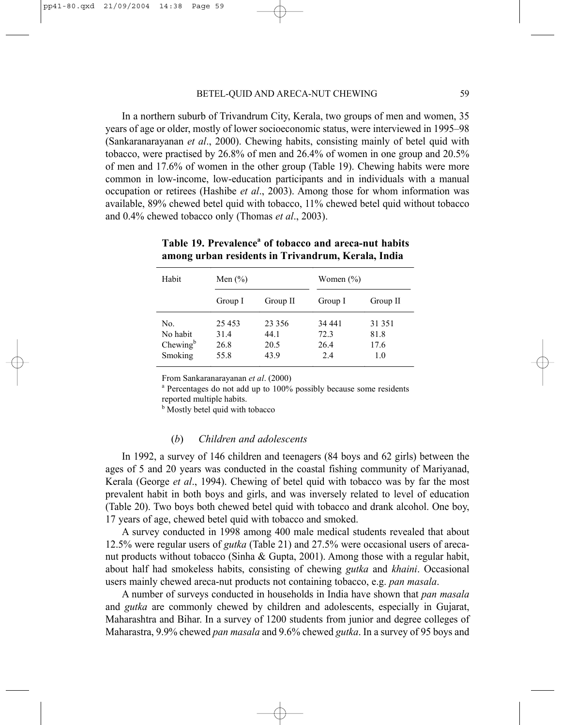In a northern suburb of Trivandrum City, Kerala, two groups of men and women, 35 years of age or older, mostly of lower socioeconomic status, were interviewed in 1995–98 (Sankaranarayanan *et al*., 2000). Chewing habits, consisting mainly of betel quid with tobacco, were practised by 26.8% of men and 26.4% of women in one group and 20.5% of men and 17.6% of women in the other group (Table 19). Chewing habits were more common in low-income, low-education participants and in individuals with a manual occupation or retirees (Hashibe *et al*., 2003). Among those for whom information was available, 89% chewed betel quid with tobacco, 11% chewed betel quid without tobacco and 0.4% chewed tobacco only (Thomas *et al*., 2003).

| Habit       | Men $(\% )$ |          |         | Women $(\% )$ |  |  |
|-------------|-------------|----------|---------|---------------|--|--|
|             | Group I     | Group II | Group I | Group II      |  |  |
| No.         | 25 4 5 3    | 23 3 5 6 | 34 441  | 31 351        |  |  |
| No habit    | 31.4        | 44.1     | 72.3    | 81.8          |  |  |
| Chewing $b$ | 26.8        | 20.5     | 26.4    | 17.6          |  |  |
| Smoking     | 55.8        | 43.9     | 2.4     | 1.0           |  |  |

**Table 19. Prevalence<sup>a</sup> of tobacco and areca-nut habits among urban residents in Trivandrum, Kerala, India** 

From Sankaranarayanan *et al.* (2000)

<sup>a</sup> Percentages do not add up to 100% possibly because some residents reported multiple habits.

<sup>b</sup> Mostly betel quid with tobacco

#### (*b*) *Children and adolescents*

In 1992, a survey of 146 children and teenagers (84 boys and 62 girls) between the ages of 5 and 20 years was conducted in the coastal fishing community of Mariyanad, Kerala (George *et al*., 1994). Chewing of betel quid with tobacco was by far the most prevalent habit in both boys and girls, and was inversely related to level of education (Table 20). Two boys both chewed betel quid with tobacco and drank alcohol. One boy, 17 years of age, chewed betel quid with tobacco and smoked.

A survey conducted in 1998 among 400 male medical students revealed that about 12.5% were regular users of *gutka* (Table 21) and 27.5% were occasional users of arecanut products without tobacco (Sinha & Gupta, 2001). Among those with a regular habit, about half had smokeless habits, consisting of chewing *gutka* and *khaini*. Occasional users mainly chewed areca-nut products not containing tobacco, e.g. *pan masala*.

A number of surveys conducted in households in India have shown that *pan masala* and *gutka* are commonly chewed by children and adolescents, especially in Gujarat, Maharashtra and Bihar. In a survey of 1200 students from junior and degree colleges of Maharastra, 9.9% chewed *pan masala* and 9.6% chewed *gutka*. In a survey of 95 boys and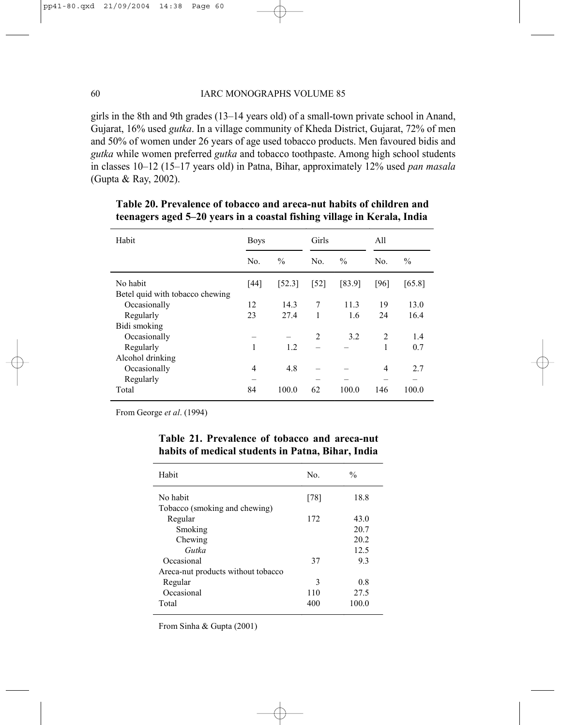#### 60 IARC MONOGRAPHS VOLUME 85

girls in the 8th and 9th grades (13–14 years old) of a small-town private school in Anand, Gujarat, 16% used *gutka*. In a village community of Kheda District, Gujarat, 72% of men and 50% of women under 26 years of age used tobacco products. Men favoured bidis and *gutka* while women preferred *gutka* and tobacco toothpaste. Among high school students in classes 10–12 (15–17 years old) in Patna, Bihar, approximately 12% used *pan masala* (Gupta & Ray, 2002).

| Habit                                       | <b>Boys</b>    |               | Girls              |               | All            |               |
|---------------------------------------------|----------------|---------------|--------------------|---------------|----------------|---------------|
|                                             | N <sub>0</sub> | $\frac{0}{0}$ | No.                | $\frac{0}{0}$ | No.            | $\frac{0}{0}$ |
| No habit<br>Betel quid with tobacco chewing | [44]           | [52.3]        | $\lceil 52 \rceil$ | [83.9]        | [96]           | [65.8]        |
| Occasionally                                | 12             | 14.3          | 7                  | 11.3          | 19             | 13.0          |
| Regularly                                   | 23             | 27.4          | 1                  | 1.6           | 24             | 16.4          |
| Bidi smoking                                |                |               |                    |               |                |               |
| Occasionally                                |                |               | 2                  | 3.2           | 2              | 1.4           |
| Regularly                                   | 1              | 1.2           |                    |               | 1              | 0.7           |
| Alcohol drinking                            |                |               |                    |               |                |               |
| Occasionally                                | 4              | 4.8           |                    |               | $\overline{4}$ | 2.7           |
| Regularly                                   |                |               |                    |               |                |               |
| Total                                       | 84             | 100.0         | 62                 | 100.0         | 146            | 100.0         |

# **Table 20. Prevalence of tobacco and areca-nut habits of children and teenagers aged 5–20 years in a coastal fishing village in Kerala, India**

From George *et al*. (1994)

| Habit                              | No.    | $\frac{0}{0}$ |
|------------------------------------|--------|---------------|
| No habit                           | $[78]$ | 18.8          |
| Tobacco (smoking and chewing)      |        |               |
| Regular                            | 172    | 43.0          |
| Smoking                            |        | 20.7          |
| Chewing                            |        | 20.2          |
| Gutka                              |        | 12.5          |
| Occasional                         | 37     | 93            |
| Areca-nut products without tobacco |        |               |
| Regular                            | 3      | 0.8           |
| Occasional                         | 110    | 27.5          |
| Total                              | 400    | 100.0         |

# **Table 21. Prevalence of tobacco and areca-nut habits of medical students in Patna, Bihar, India**

From Sinha & Gupta (2001)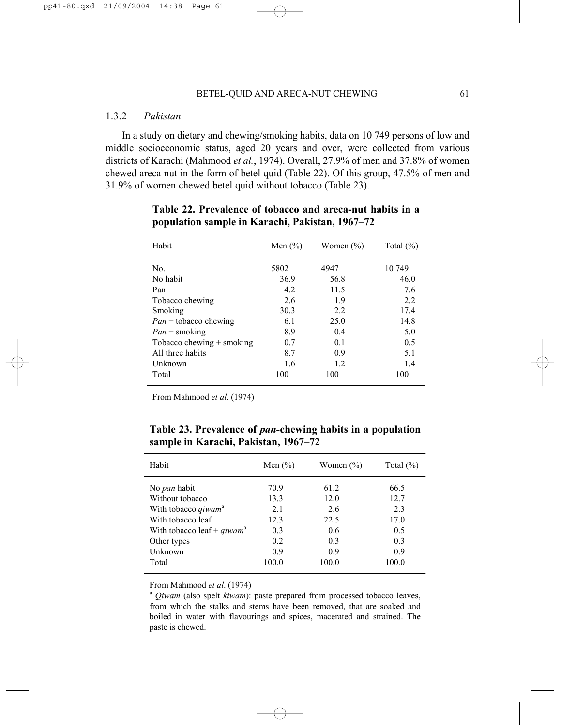### 1.3.2 *Pakistan*

In a study on dietary and chewing/smoking habits, data on 10 749 persons of low and middle socioeconomic status, aged 20 years and over, were collected from various districts of Karachi (Mahmood *et al.*, 1974). Overall, 27.9% of men and 37.8% of women chewed areca nut in the form of betel quid (Table 22). Of this group, 47.5% of men and 31.9% of women chewed betel quid without tobacco (Table 23).

| Habit                            | Men $(\% )$ | Women $(\% )$ | Total $(\% )$ |
|----------------------------------|-------------|---------------|---------------|
| No.                              | 5802        | 4947          | 10 749        |
| No habit                         | 36.9        | 56.8          | 46.0          |
| Pan                              | 4.2         | 11.5          | 7.6           |
| Tobacco chewing                  | 2.6         | 1.9           | 2.2           |
| Smoking                          | 30.3        | 2.2           | 17.4          |
| $Pan + \text{tobacco chemistry}$ | 6.1         | 25.0          | 14.8          |
| $Pan + \text{smoking}$           | 8.9         | 0.4           | 5.0           |
| Tobacco chewing $+$ smoking      | 0.7         | 0.1           | 0.5           |
| All three habits                 | 8.7         | 0.9           | 5.1           |
| Unknown                          | 1.6         | 1.2           | 1.4           |
| Total                            | 100         | 100           | 100           |

**Table 22. Prevalence of tobacco and areca-nut habits in a population sample in Karachi, Pakistan, 1967–72** 

From Mahmood *et al*. (1974)

**Table 23. Prevalence of** *pan-***chewing habits in a population sample in Karachi, Pakistan, 1967–72**

| Habit                                  | Men $(\% )$ | Women $(\% )$ | Total $(\% )$ |
|----------------------------------------|-------------|---------------|---------------|
| No <i>pan</i> habit                    | 70.9        | 61.2          | 66.5          |
| Without tobacco                        | 13.3        | 12.0          | 12.7          |
| With tobacco <i>qiwam</i> <sup>a</sup> | 2.1         | 2.6           | 2.3           |
| With tobacco leaf                      | 12.3        | 22.5          | 17.0          |
| With tobacco leaf + qiwam <sup>a</sup> | 0.3         | 0.6           | 0.5           |
| Other types                            | 0.2         | 0.3           | 0.3           |
| Unknown                                | 0.9         | 0.9           | 0.9           |
| Total                                  | 100.0       | 100.0         | 100.0         |

From Mahmood *et al*. (1974)

<sup>a</sup> *Qiwam* (also spelt *kiwam*): paste prepared from processed tobacco leaves, from which the stalks and stems have been removed, that are soaked and boiled in water with flavourings and spices, macerated and strained. The paste is chewed.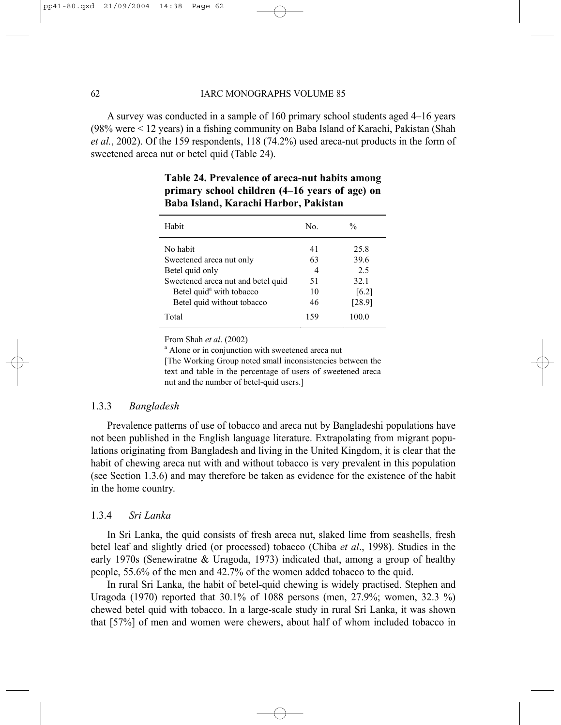#### 62 IARC MONOGRAPHS VOLUME 85

A survey was conducted in a sample of 160 primary school students aged 4–16 years (98% were < 12 years) in a fishing community on Baba Island of Karachi, Pakistan (Shah *et al.*, 2002). Of the 159 respondents, 118 (74.2%) used areca-nut products in the form of sweetened areca nut or betel quid (Table 24).

| Habit                                | No. | $\frac{0}{0}$ |
|--------------------------------------|-----|---------------|
| No habit                             | 41  | 25.8          |
| Sweetened areca nut only             | 63  | 39.6          |
| Betel quid only                      | 4   | 2.5           |
| Sweetened areca nut and betel quid   | 51  | 32.1          |
| Betel quid <sup>a</sup> with tobacco | 10  | [6.2]         |
| Betel quid without tobacco           | 46  | [28.9]        |
| Total                                | 159 | 100.0         |

# **Table 24. Prevalence of areca-nut habits among primary school children (4–16 years of age) on Baba Island, Karachi Harbor, Pakistan**

From Shah *et al.* (2002)

<sup>a</sup> Alone or in conjunction with sweetened areca nut [The Working Group noted small inconsistencies between the text and table in the percentage of users of sweetened areca nut and the number of betel-quid users.]

#### 1.3.3 *Bangladesh*

Prevalence patterns of use of tobacco and areca nut by Bangladeshi populations have not been published in the English language literature. Extrapolating from migrant populations originating from Bangladesh and living in the United Kingdom, it is clear that the habit of chewing areca nut with and without tobacco is very prevalent in this population (see Section 1.3.6) and may therefore be taken as evidence for the existence of the habit in the home country.

#### 1.3.4 *Sri Lanka*

In Sri Lanka, the quid consists of fresh areca nut, slaked lime from seashells, fresh betel leaf and slightly dried (or processed) tobacco (Chiba *et al*., 1998). Studies in the early 1970s (Senewiratne & Uragoda, 1973) indicated that, among a group of healthy people, 55.6% of the men and 42.7% of the women added tobacco to the quid.

In rural Sri Lanka, the habit of betel-quid chewing is widely practised. Stephen and Uragoda (1970) reported that 30.1% of 1088 persons (men, 27.9%; women, 32.3 %) chewed betel quid with tobacco. In a large-scale study in rural Sri Lanka, it was shown that [57%] of men and women were chewers, about half of whom included tobacco in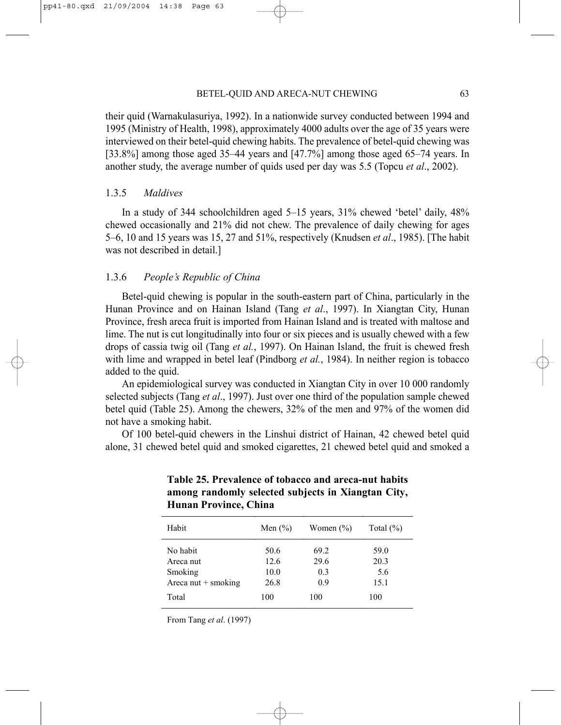their quid (Warnakulasuriya, 1992). In a nationwide survey conducted between 1994 and 1995 (Ministry of Health, 1998), approximately 4000 adults over the age of 35 years were interviewed on their betel-quid chewing habits. The prevalence of betel-quid chewing was [33.8%] among those aged 35–44 years and [47.7%] among those aged 65–74 years. In another study, the average number of quids used per day was 5.5 (Topcu *et al*., 2002).

#### 1.3.5 *Maldives*

In a study of 344 schoolchildren aged 5–15 years, 31% chewed 'betel' daily, 48% chewed occasionally and 21% did not chew. The prevalence of daily chewing for ages 5–6, 10 and 15 years was 15, 27 and 51%, respectively (Knudsen *et al*., 1985). [The habit was not described in detail.]

#### 1.3.6 *People's Republic of China*

Betel-quid chewing is popular in the south-eastern part of China, particularly in the Hunan Province and on Hainan Island (Tang *et al*., 1997). In Xiangtan City, Hunan Province, fresh areca fruit is imported from Hainan Island and is treated with maltose and lime. The nut is cut longitudinally into four or six pieces and is usually chewed with a few drops of cassia twig oil (Tang *et al.*, 1997). On Hainan Island, the fruit is chewed fresh with lime and wrapped in betel leaf (Pindborg *et al.*, 1984). In neither region is tobacco added to the quid.

An epidemiological survey was conducted in Xiangtan City in over 10 000 randomly selected subjects (Tang *et al*., 1997). Just over one third of the population sample chewed betel quid (Table 25). Among the chewers, 32% of the men and 97% of the women did not have a smoking habit.

Of 100 betel-quid chewers in the Linshui district of Hainan, 42 chewed betel quid alone, 31 chewed betel quid and smoked cigarettes, 21 chewed betel quid and smoked a

| Habit                 | Men $(\% )$ | Women $(\% )$ | Total $(\% )$ |
|-----------------------|-------------|---------------|---------------|
| No habit              | 50.6        | 69.2          | 59.0          |
| Areca nut             | 12.6        | 29.6          | 20.3          |
| Smoking               | 10.0        | 0.3           | 5.6           |
| Areca nut $+$ smoking | 26.8        | 0.9           | 15.1          |
| Total                 | 100         | 100           | 100           |

# **Table 25. Prevalence of tobacco and areca-nut habits among randomly selected subjects in Xiangtan City, Hunan Province, China**

From Tang *et al*. (1997)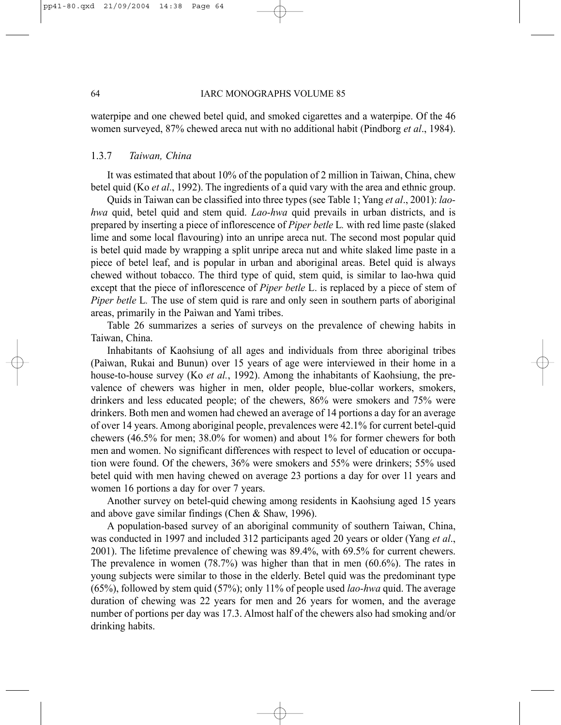waterpipe and one chewed betel quid, and smoked cigarettes and a waterpipe. Of the 46 women surveyed, 87% chewed areca nut with no additional habit (Pindborg *et al*., 1984).

#### 1.3.7 *Taiwan, China*

It was estimated that about 10% of the population of 2 million in Taiwan, China, chew betel quid (Ko *et al*., 1992). The ingredients of a quid vary with the area and ethnic group.

Quids in Taiwan can be classified into three types (see Table 1; Yang *et al*., 2001): *laohwa* quid, betel quid and stem quid. *Lao-hwa* quid prevails in urban districts, and is prepared by inserting a piece of inflorescence of *Piper betle* L*.* with red lime paste (slaked lime and some local flavouring) into an unripe areca nut. The second most popular quid is betel quid made by wrapping a split unripe areca nut and white slaked lime paste in a piece of betel leaf, and is popular in urban and aboriginal areas. Betel quid is always chewed without tobacco. The third type of quid, stem quid, is similar to lao-hwa quid except that the piece of inflorescence of *Piper betle* L. is replaced by a piece of stem of *Piper betle L.* The use of stem quid is rare and only seen in southern parts of aboriginal areas, primarily in the Paìwan and Yamì tribes.

Table 26 summarizes a series of surveys on the prevalence of chewing habits in Taiwan, China.

Inhabitants of Kaohsiung of all ages and individuals from three aboriginal tribes (Paìwan, Rukai and Bunun) over 15 years of age were interviewed in their home in a house-to-house survey (Ko *et al.*, 1992). Among the inhabitants of Kaohsiung, the prevalence of chewers was higher in men, older people, blue-collar workers, smokers, drinkers and less educated people; of the chewers, 86% were smokers and 75% were drinkers. Both men and women had chewed an average of 14 portions a day for an average of over 14 years. Among aboriginal people, prevalences were 42.1% for current betel-quid chewers (46.5% for men; 38.0% for women) and about 1% for former chewers for both men and women. No significant differences with respect to level of education or occupation were found. Of the chewers, 36% were smokers and 55% were drinkers; 55% used betel quid with men having chewed on average 23 portions a day for over 11 years and women 16 portions a day for over 7 years.

Another survey on betel-quid chewing among residents in Kaohsiung aged 15 years and above gave similar findings (Chen & Shaw, 1996).

A population-based survey of an aboriginal community of southern Taiwan, China, was conducted in 1997 and included 312 participants aged 20 years or older (Yang *et al*., 2001). The lifetime prevalence of chewing was 89.4%, with 69.5% for current chewers. The prevalence in women (78.7%) was higher than that in men (60.6%). The rates in young subjects were similar to those in the elderly. Betel quid was the predominant type (65%), followed by stem quid (57%); only 11% of people used *lao-hwa* quid. The average duration of chewing was 22 years for men and 26 years for women, and the average number of portions per day was 17.3. Almost half of the chewers also had smoking and/or drinking habits.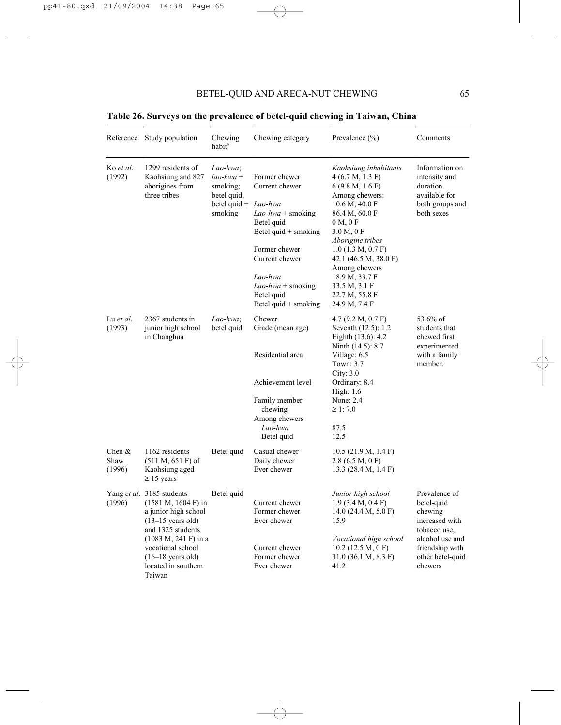|                            | Reference Study population                                                                                                                                                                                                                    | Chewing<br>habit <sup>a</sup>                                                   | Chewing category                                                                                                                                                                                                                     | Prevalence $(\% )$                                                                                                                                                                                                                                                                                      | Comments                                                                                                                                      |
|----------------------------|-----------------------------------------------------------------------------------------------------------------------------------------------------------------------------------------------------------------------------------------------|---------------------------------------------------------------------------------|--------------------------------------------------------------------------------------------------------------------------------------------------------------------------------------------------------------------------------------|---------------------------------------------------------------------------------------------------------------------------------------------------------------------------------------------------------------------------------------------------------------------------------------------------------|-----------------------------------------------------------------------------------------------------------------------------------------------|
| Ko et al.<br>(1992)        | 1299 residents of<br>Kaohsiung and 827<br>aborigines from<br>three tribes                                                                                                                                                                     | Lao-hwa;<br>$lao-hwa +$<br>smoking;<br>betel quid;<br>betel quid $+$<br>smoking | Former chewer<br>Current chewer<br>Lao-hwa<br>$Lao-hwa + \text{smoking}$<br>Betel quid<br>Betel quid $+$ smoking<br>Former chewer<br>Current chewer<br>Lao-hwa<br>$Lao-hwa + \text{smoking}$<br>Betel quid<br>Betel quid $+$ smoking | Kaohsiung inhabitants<br>4(6.7 M, 1.3 F)<br>6(9.8 M, 1.6 F)<br>Among chewers:<br>10.6 M, 40.0 F<br>86.4 M, 60.0 F<br>0 M, 0 F<br>3.0 M, 0 F<br>Aborigine tribes<br>$1.0$ (1.3 M, 0.7 F)<br>42.1 (46.5 M, 38.0 F)<br>Among chewers<br>18.9 M, 33.7 F<br>33.5 M, 3.1 F<br>22.7 M, 55.8 F<br>24.9 M, 7.4 F | Information on<br>intensity and<br>duration<br>available for<br>both groups and<br>both sexes                                                 |
| Lu et al.<br>(1993)        | 2367 students in<br>junior high school<br>in Changhua                                                                                                                                                                                         | Lao-hwa;<br>betel quid                                                          | Chewer<br>Grade (mean age)<br>Residential area<br>Achievement level<br>Family member<br>chewing<br>Among chewers<br>Lao-hwa<br>Betel quid                                                                                            | 4.7 (9.2 M, 0.7 F)<br>Seventh (12.5): 1.2<br>Eighth (13.6): 4.2<br>Ninth (14.5): 8.7<br>Village: $6.5$<br>Town: 3.7<br>City: $3.0$<br>Ordinary: 8.4<br>High: $1.6$<br>None: 2.4<br>$\geq 1:7.0$<br>87.5<br>12.5                                                                                         | 53.6% of<br>students that<br>chewed first<br>experimented<br>with a family<br>member.                                                         |
| Chen $&$<br>Shaw<br>(1996) | 1162 residents<br>$(511 M, 651 F)$ of<br>Kaohsiung aged<br>$\geq$ 15 years                                                                                                                                                                    | Betel quid                                                                      | Casual chewer<br>Daily chewer<br>Ever chewer                                                                                                                                                                                         | 10.5(21.9 M, 1.4 F)<br>2.8(6.5 M, 0 F)<br>13.3 $(28.4 M, 1.4 F)$                                                                                                                                                                                                                                        |                                                                                                                                               |
| (1996)                     | Yang et al. 3185 students<br>$(1581 M, 1604 F)$ in<br>a junior high school<br>$(13-15 \text{ years old})$<br>and 1325 students<br>$(1083 M, 241 F)$ in a<br>vocational school<br>$(16-18 \text{ years old})$<br>located in southern<br>Taiwan | Betel quid                                                                      | Current chewer<br>Former chewer<br>Ever chewer<br>Current chewer<br>Former chewer<br>Ever chewer                                                                                                                                     | Junior high school<br>$1.9$ (3.4 M, 0.4 F)<br>14.0 $(24.4 M, 5.0 F)$<br>15.9<br>Vocational high school<br>$10.2$ (12.5 M, 0 F)<br>31.0 (36.1 M, 8.3 F)<br>41.2                                                                                                                                          | Prevalence of<br>betel-quid<br>chewing<br>increased with<br>tobacco use,<br>alcohol use and<br>friendship with<br>other betel-quid<br>chewers |

**Table 26. Surveys on the prevalence of betel-quid chewing in Taiwan, China**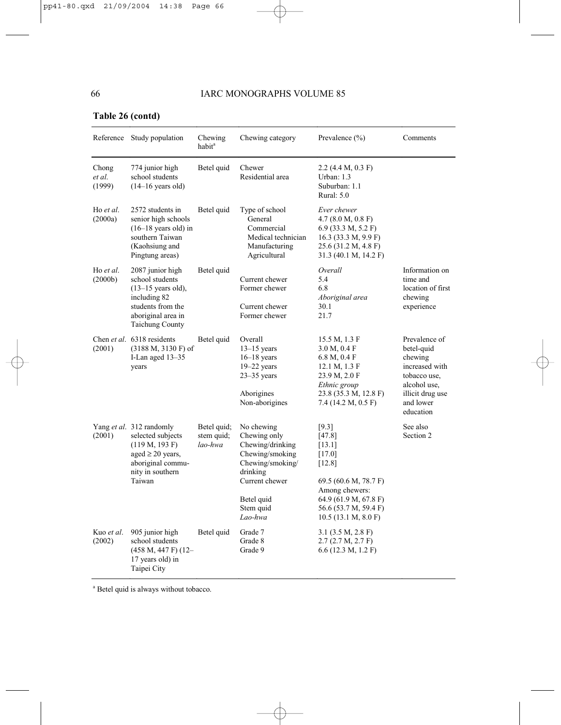# **Table 26 (contd)**

|                           | Reference Study population                                                                                                                                | Chewing<br>habit <sup>a</sup>        | Chewing category                                                                                                                                          | Prevalence (%)                                                                                                                                                         | Comments                                                                                                                               |
|---------------------------|-----------------------------------------------------------------------------------------------------------------------------------------------------------|--------------------------------------|-----------------------------------------------------------------------------------------------------------------------------------------------------------|------------------------------------------------------------------------------------------------------------------------------------------------------------------------|----------------------------------------------------------------------------------------------------------------------------------------|
| Chong<br>et al.<br>(1999) | 774 junior high<br>school students<br>$(14-16$ years old)                                                                                                 | Betel quid                           | Chewer<br>Residential area                                                                                                                                | 2.2 (4.4 M, 0.3 F)<br>Urban: $1.3$<br>Suburban: 1.1<br>Rural: $5.0$                                                                                                    |                                                                                                                                        |
| Ho et al.<br>(2000a)      | 2572 students in<br>senior high schools<br>$(16-18 \text{ years old})$ in<br>southern Taiwan<br>(Kaohsiung and<br>Pingtung areas)                         | Betel quid                           | Type of school<br>General<br>Commercial<br>Medical technician<br>Manufacturing<br>Agricultural                                                            | Ever chewer<br>4.7(8.0 M, 0.8 F)<br>$6.9$ (33.3 M, 5.2 F)<br>16.3 (33.3 M, 9.9 F)<br>25.6 (31.2 M, 4.8 F)<br>31.3 (40.1 M, 14.2 F)                                     |                                                                                                                                        |
| Ho et al.<br>(2000b)      | 2087 junior high<br>school students<br>$(13-15 \text{ years old})$ ,<br>including 82<br>students from the<br>aboriginal area in<br><b>Taichung County</b> | Betel quid                           | Current chewer<br>Former chewer<br>Current chewer<br>Former chewer                                                                                        | Overall<br>5.4<br>6.8<br>Aboriginal area<br>30.1<br>21.7                                                                                                               | Information on<br>time and<br>location of first<br>chewing<br>experience                                                               |
| (2001)                    | Chen et al. 6318 residents<br>$(3188 M, 3130 F)$ of<br>I-Lan aged 13-35<br>years                                                                          | Betel quid                           | Overall<br>$13-15$ years<br>$16-18$ years<br>$19 - 22$ years<br>$23-35$ years<br>Aborigines<br>Non-aborigines                                             | 15.5 M, 1.3 F<br>3.0 M, 0.4 F<br>6.8 M, 0.4 F<br>12.1 M, 1.3 F<br>23.9 M, 2.0 F<br>Ethnic group<br>23.8 (35.3 M, 12.8 F)<br>7.4 (14.2 M, 0.5 F)                        | Prevalence of<br>betel-quid<br>chewing<br>increased with<br>tobacco use.<br>alcohol use,<br>illicit drug use<br>and lower<br>education |
| (2001)                    | Yang et al. 312 randomly<br>selected subjects<br>(119 M, 193 F)<br>aged $\geq$ 20 years,<br>aboriginal commu-<br>nity in southern<br>Taiwan               | Betel quid;<br>stem quid;<br>lao-hwa | No chewing<br>Chewing only<br>Chewing/drinking<br>Chewing/smoking<br>Chewing/smoking/<br>drinking<br>Current chewer<br>Betel quid<br>Stem quid<br>Lao-hwa | $[9.3]$<br>[47.8]<br>[13.1]<br>[17.0]<br>[12.8]<br>69.5 (60.6 M, 78.7 F)<br>Among chewers:<br>64.9 (61.9 M, 67.8 F)<br>56.6 (53.7 M, 59.4 F)<br>$10.5$ (13.1 M, 8.0 F) | See also<br>Section 2                                                                                                                  |
| Kuo et al.<br>(2002)      | 905 junior high<br>school students<br>$(458 M, 447 F) (12 -$<br>17 years old) in<br>Taipei City                                                           | Betel quid                           | Grade 7<br>Grade 8<br>Grade 9                                                                                                                             | $3.1$ (3.5 M, 2.8 F)<br>2.7(2.7 M, 2.7 F)<br>6.6 (12.3 M, 1.2 F)                                                                                                       |                                                                                                                                        |

a Betel quid is always without tobacco.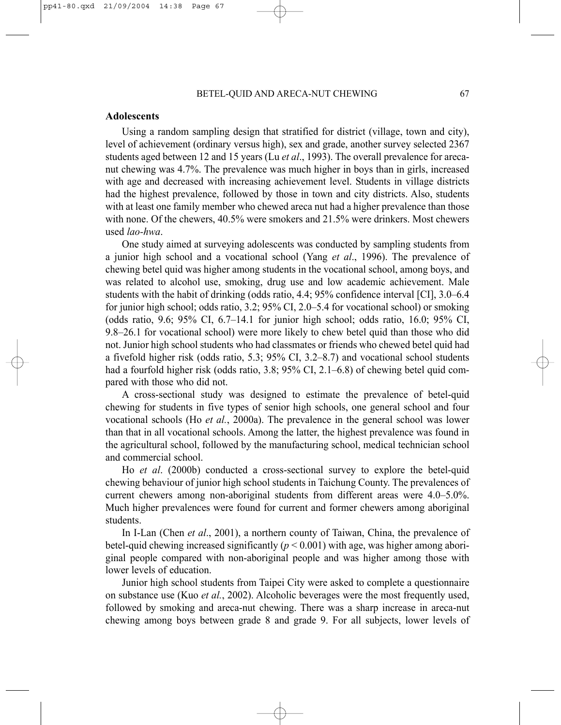#### **Adolescents**

Using a random sampling design that stratified for district (village, town and city), level of achievement (ordinary versus high), sex and grade, another survey selected 2367 students aged between 12 and 15 years (Lu *et al*., 1993). The overall prevalence for arecanut chewing was 4.7%. The prevalence was much higher in boys than in girls, increased with age and decreased with increasing achievement level. Students in village districts had the highest prevalence, followed by those in town and city districts. Also, students with at least one family member who chewed areca nut had a higher prevalence than those with none. Of the chewers, 40.5% were smokers and 21.5% were drinkers. Most chewers used *lao-hwa*.

One study aimed at surveying adolescents was conducted by sampling students from a junior high school and a vocational school (Yang *et al*., 1996). The prevalence of chewing betel quid was higher among students in the vocational school, among boys, and was related to alcohol use, smoking, drug use and low academic achievement. Male students with the habit of drinking (odds ratio, 4.4; 95% confidence interval [CI], 3.0–6.4 for junior high school; odds ratio, 3.2; 95% CI, 2.0–5.4 for vocational school) or smoking (odds ratio, 9.6; 95% CI, 6.7–14.1 for junior high school; odds ratio, 16.0; 95% CI, 9.8–26.1 for vocational school) were more likely to chew betel quid than those who did not. Junior high school students who had classmates or friends who chewed betel quid had a fivefold higher risk (odds ratio, 5.3; 95% CI, 3.2–8.7) and vocational school students had a fourfold higher risk (odds ratio, 3.8; 95% CI, 2.1–6.8) of chewing betel quid compared with those who did not.

A cross-sectional study was designed to estimate the prevalence of betel-quid chewing for students in five types of senior high schools, one general school and four vocational schools (Ho *et al.*, 2000a). The prevalence in the general school was lower than that in all vocational schools. Among the latter, the highest prevalence was found in the agricultural school, followed by the manufacturing school, medical technician school and commercial school.

Ho *et al*. (2000b) conducted a cross-sectional survey to explore the betel-quid chewing behaviour of junior high school students in Taichung County. The prevalences of current chewers among non-aboriginal students from different areas were 4.0–5.0%. Much higher prevalences were found for current and former chewers among aboriginal students.

In I-Lan (Chen *et al*., 2001), a northern county of Taiwan, China, the prevalence of betel-quid chewing increased significantly  $(p < 0.001)$  with age, was higher among aboriginal people compared with non-aboriginal people and was higher among those with lower levels of education.

Junior high school students from Taipei City were asked to complete a questionnaire on substance use (Kuo *et al.*, 2002). Alcoholic beverages were the most frequently used, followed by smoking and areca-nut chewing. There was a sharp increase in areca-nut chewing among boys between grade 8 and grade 9. For all subjects, lower levels of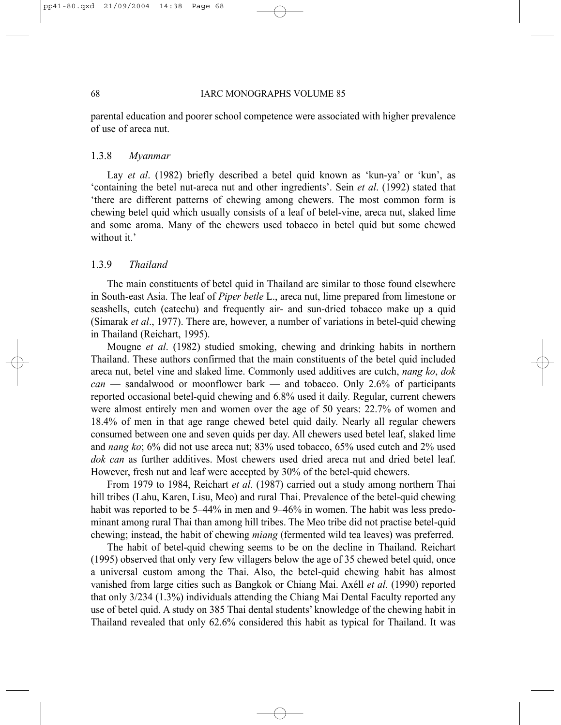#### 68 IARC MONOGRAPHS VOLUME 85

parental education and poorer school competence were associated with higher prevalence of use of areca nut.

# 1.3.8 *Myanmar*

Lay *et al*. (1982) briefly described a betel quid known as 'kun-ya' or 'kun', as 'containing the betel nut-areca nut and other ingredients'. Sein *et al*. (1992) stated that 'there are different patterns of chewing among chewers. The most common form is chewing betel quid which usually consists of a leaf of betel-vine, areca nut, slaked lime and some aroma. Many of the chewers used tobacco in betel quid but some chewed without it.'

#### 1.3.9 *Thailand*

The main constituents of betel quid in Thailand are similar to those found elsewhere in South-east Asia. The leaf of *Piper betle* L., areca nut, lime prepared from limestone or seashells, cutch (catechu) and frequently air- and sun-dried tobacco make up a quid (Simarak *et al*., 1977). There are, however, a number of variations in betel-quid chewing in Thailand (Reichart, 1995).

Mougne *et al*. (1982) studied smoking, chewing and drinking habits in northern Thailand. These authors confirmed that the main constituents of the betel quid included areca nut, betel vine and slaked lime. Commonly used additives are cutch, *nang ko*, *dok can* — sandalwood or moonflower bark — and tobacco. Only 2.6% of participants reported occasional betel-quid chewing and 6.8% used it daily. Regular, current chewers were almost entirely men and women over the age of 50 years: 22.7% of women and 18.4% of men in that age range chewed betel quid daily. Nearly all regular chewers consumed between one and seven quids per day. All chewers used betel leaf, slaked lime and *nang ko*; 6% did not use areca nut; 83% used tobacco, 65% used cutch and 2% used *dok can* as further additives. Most chewers used dried areca nut and dried betel leaf. However, fresh nut and leaf were accepted by 30% of the betel-quid chewers.

From 1979 to 1984, Reichart *et al*. (1987) carried out a study among northern Thai hill tribes (Lahu, Karen, Lisu, Meo) and rural Thai. Prevalence of the betel-quid chewing habit was reported to be 5–44% in men and 9–46% in women. The habit was less predominant among rural Thai than among hill tribes. The Meo tribe did not practise betel-quid chewing; instead, the habit of chewing *miang* (fermented wild tea leaves) was preferred.

The habit of betel-quid chewing seems to be on the decline in Thailand. Reichart (1995) observed that only very few villagers below the age of 35 chewed betel quid, once a universal custom among the Thai. Also, the betel-quid chewing habit has almost vanished from large cities such as Bangkok or Chiang Mai. Axéll *et al*. (1990) reported that only 3/234 (1.3%) individuals attending the Chiang Mai Dental Faculty reported any use of betel quid. A study on 385 Thai dental students' knowledge of the chewing habit in Thailand revealed that only 62.6% considered this habit as typical for Thailand. It was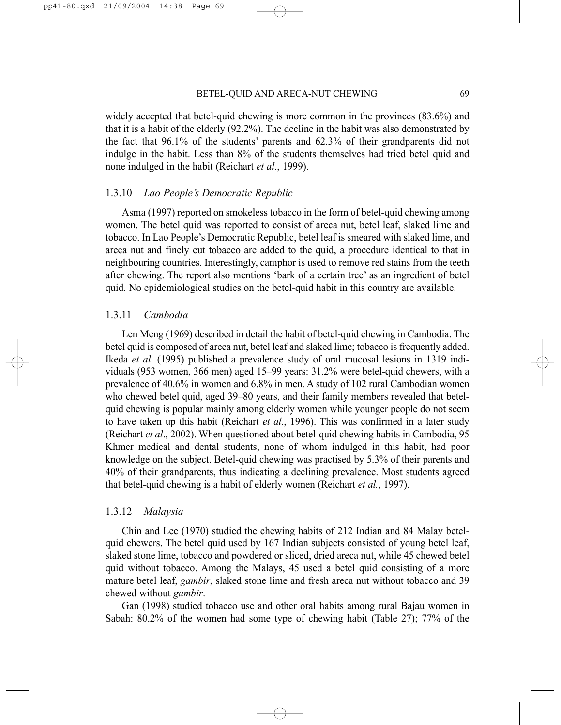widely accepted that betel-quid chewing is more common in the provinces (83.6%) and that it is a habit of the elderly (92.2%). The decline in the habit was also demonstrated by the fact that 96.1% of the students' parents and 62.3% of their grandparents did not indulge in the habit. Less than 8% of the students themselves had tried betel quid and none indulged in the habit (Reichart *et al*., 1999).

#### 1.3.10 *Lao People's Democratic Republic*

Asma (1997) reported on smokeless tobacco in the form of betel-quid chewing among women. The betel quid was reported to consist of areca nut, betel leaf, slaked lime and tobacco. In Lao People's Democratic Republic, betel leaf is smeared with slaked lime, and areca nut and finely cut tobacco are added to the quid, a procedure identical to that in neighbouring countries. Interestingly, camphor is used to remove red stains from the teeth after chewing. The report also mentions 'bark of a certain tree' as an ingredient of betel quid. No epidemiological studies on the betel-quid habit in this country are available.

#### 1.3.11 *Cambodia*

Len Meng (1969) described in detail the habit of betel-quid chewing in Cambodia. The betel quid is composed of areca nut, betel leaf and slaked lime; tobacco is frequently added. Ikeda *et al*. (1995) published a prevalence study of oral mucosal lesions in 1319 individuals (953 women, 366 men) aged 15–99 years: 31.2% were betel-quid chewers, with a prevalence of 40.6% in women and 6.8% in men. A study of 102 rural Cambodian women who chewed betel quid, aged 39–80 years, and their family members revealed that betelquid chewing is popular mainly among elderly women while younger people do not seem to have taken up this habit (Reichart *et al*., 1996). This was confirmed in a later study (Reichart *et al*., 2002). When questioned about betel-quid chewing habits in Cambodia, 95 Khmer medical and dental students, none of whom indulged in this habit, had poor knowledge on the subject. Betel-quid chewing was practised by 5.3% of their parents and 40% of their grandparents, thus indicating a declining prevalence. Most students agreed that betel-quid chewing is a habit of elderly women (Reichart *et al.*, 1997).

#### 1.3.12 *Malaysia*

Chin and Lee (1970) studied the chewing habits of 212 Indian and 84 Malay betelquid chewers. The betel quid used by 167 Indian subjects consisted of young betel leaf, slaked stone lime, tobacco and powdered or sliced, dried areca nut, while 45 chewed betel quid without tobacco. Among the Malays, 45 used a betel quid consisting of a more mature betel leaf, *gambir*, slaked stone lime and fresh areca nut without tobacco and 39 chewed without *gambir*.

Gan (1998) studied tobacco use and other oral habits among rural Bajau women in Sabah: 80.2% of the women had some type of chewing habit (Table 27); 77% of the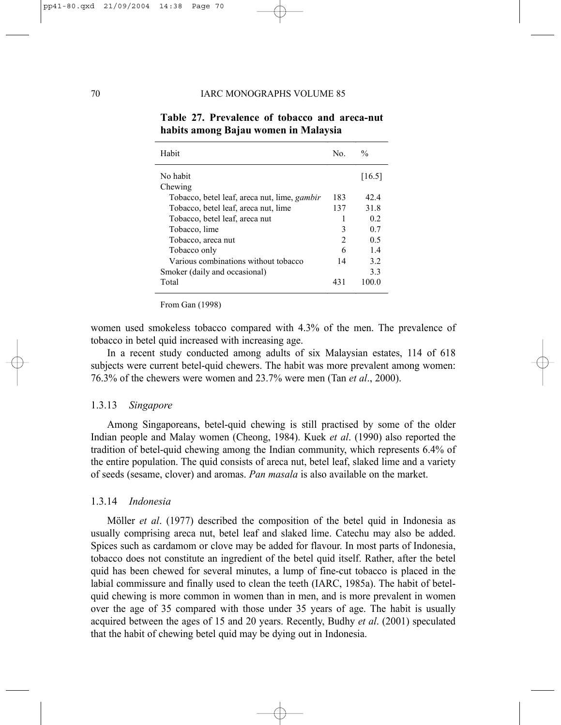| Habit                                               | No.            | $\frac{0}{0}$ |
|-----------------------------------------------------|----------------|---------------|
| No habit                                            |                | [16.5]        |
| Chewing                                             |                |               |
| Tobacco, betel leaf, areca nut, lime, <i>gambir</i> | 183            | 42.4          |
| Tobacco, betel leaf, areca nut, lime                | 137            | 31.8          |
| Tobacco, betel leaf, areca nut                      | 1              | 02            |
| Tobacco, lime                                       | 3              | 07            |
| Tobacco, areca nut                                  | $\mathfrak{D}$ | 0.5           |
| Tobacco only                                        | 6              | 14            |
| Various combinations without tobacco                | 14             | 3.2           |
| Smoker (daily and occasional)                       |                | 33            |
| Total                                               | 43.            | 100 0         |

**Table 27. Prevalence of tobacco and areca-nut habits among Bajau women in Malaysia** 

From Gan (1998)

women used smokeless tobacco compared with 4.3% of the men. The prevalence of tobacco in betel quid increased with increasing age.

In a recent study conducted among adults of six Malaysian estates, 114 of 618 subjects were current betel-quid chewers. The habit was more prevalent among women: 76.3% of the chewers were women and 23.7% were men (Tan *et al*., 2000).

#### 1.3.13 *Singapore*

Among Singaporeans, betel-quid chewing is still practised by some of the older Indian people and Malay women (Cheong, 1984). Kuek *et al*. (1990) also reported the tradition of betel-quid chewing among the Indian community, which represents 6.4% of the entire population. The quid consists of areca nut, betel leaf, slaked lime and a variety of seeds (sesame, clover) and aromas. *Pan masala* is also available on the market.

#### 1.3.14 *Indonesia*

Möller *et al*. (1977) described the composition of the betel quid in Indonesia as usually comprising areca nut, betel leaf and slaked lime. Catechu may also be added. Spices such as cardamom or clove may be added for flavour. In most parts of Indonesia, tobacco does not constitute an ingredient of the betel quid itself. Rather, after the betel quid has been chewed for several minutes, a lump of fine-cut tobacco is placed in the labial commissure and finally used to clean the teeth (IARC, 1985a). The habit of betelquid chewing is more common in women than in men, and is more prevalent in women over the age of 35 compared with those under 35 years of age. The habit is usually acquired between the ages of 15 and 20 years. Recently, Budhy *et al*. (2001) speculated that the habit of chewing betel quid may be dying out in Indonesia.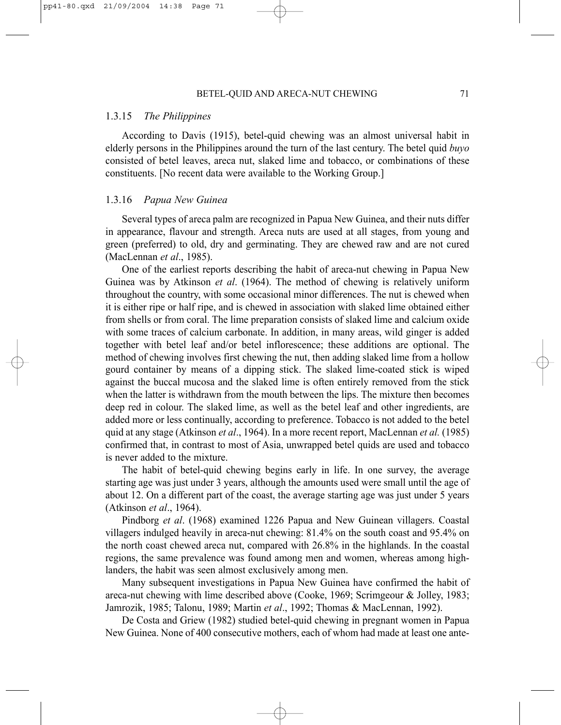#### 1.3.15 *The Philippines*

According to Davis (1915), betel-quid chewing was an almost universal habit in elderly persons in the Philippines around the turn of the last century. The betel quid *buyo* consisted of betel leaves, areca nut, slaked lime and tobacco, or combinations of these constituents. [No recent data were available to the Working Group.]

#### 1.3.16 *Papua New Guinea*

Several types of areca palm are recognized in Papua New Guinea, and their nuts differ in appearance, flavour and strength. Areca nuts are used at all stages, from young and green (preferred) to old, dry and germinating. They are chewed raw and are not cured (MacLennan *et al*., 1985).

One of the earliest reports describing the habit of areca-nut chewing in Papua New Guinea was by Atkinson *et al*. (1964). The method of chewing is relatively uniform throughout the country, with some occasional minor differences. The nut is chewed when it is either ripe or half ripe, and is chewed in association with slaked lime obtained either from shells or from coral. The lime preparation consists of slaked lime and calcium oxide with some traces of calcium carbonate. In addition, in many areas, wild ginger is added together with betel leaf and/or betel inflorescence; these additions are optional. The method of chewing involves first chewing the nut, then adding slaked lime from a hollow gourd container by means of a dipping stick. The slaked lime-coated stick is wiped against the buccal mucosa and the slaked lime is often entirely removed from the stick when the latter is withdrawn from the mouth between the lips. The mixture then becomes deep red in colour. The slaked lime, as well as the betel leaf and other ingredients, are added more or less continually, according to preference. Tobacco is not added to the betel quid at any stage (Atkinson *et al*., 1964). In a more recent report, MacLennan *et al.* (1985) confirmed that, in contrast to most of Asia, unwrapped betel quids are used and tobacco is never added to the mixture.

The habit of betel-quid chewing begins early in life. In one survey, the average starting age was just under 3 years, although the amounts used were small until the age of about 12. On a different part of the coast, the average starting age was just under 5 years (Atkinson *et al*., 1964).

Pindborg *et al*. (1968) examined 1226 Papua and New Guinean villagers. Coastal villagers indulged heavily in areca-nut chewing: 81.4% on the south coast and 95.4% on the north coast chewed areca nut, compared with 26.8% in the highlands. In the coastal regions, the same prevalence was found among men and women, whereas among highlanders, the habit was seen almost exclusively among men.

Many subsequent investigations in Papua New Guinea have confirmed the habit of areca-nut chewing with lime described above (Cooke, 1969; Scrimgeour & Jolley, 1983; Jamrozik, 1985; Talonu, 1989; Martin *et al*., 1992; Thomas & MacLennan, 1992).

De Costa and Griew (1982) studied betel-quid chewing in pregnant women in Papua New Guinea. None of 400 consecutive mothers, each of whom had made at least one ante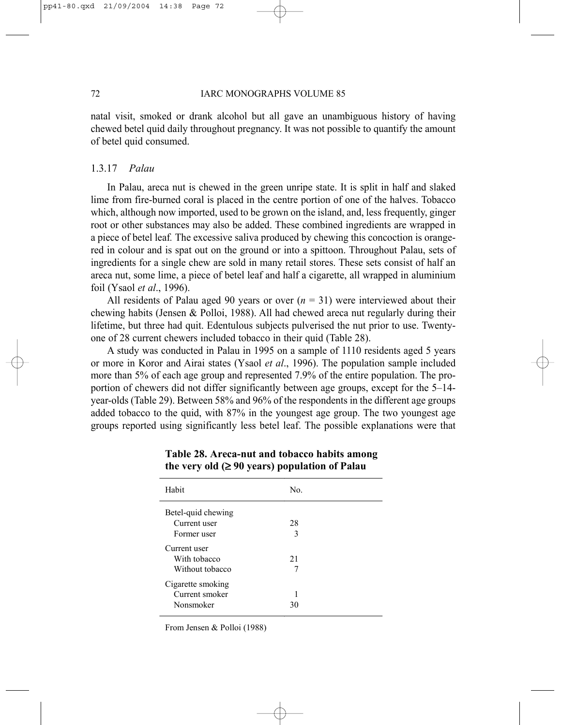natal visit, smoked or drank alcohol but all gave an unambiguous history of having chewed betel quid daily throughout pregnancy. It was not possible to quantify the amount of betel quid consumed.

#### 1.3.17 *Palau*

In Palau, areca nut is chewed in the green unripe state. It is split in half and slaked lime from fire-burned coral is placed in the centre portion of one of the halves. Tobacco which, although now imported, used to be grown on the island, and, less frequently, ginger root or other substances may also be added. These combined ingredients are wrapped in a piece of betel leaf*.* The excessive saliva produced by chewing this concoction is orangered in colour and is spat out on the ground or into a spittoon. Throughout Palau, sets of ingredients for a single chew are sold in many retail stores. These sets consist of half an areca nut, some lime, a piece of betel leaf and half a cigarette, all wrapped in aluminium foil (Ysaol *et al*., 1996).

All residents of Palau aged 90 years or over  $(n = 31)$  were interviewed about their chewing habits (Jensen & Polloi, 1988). All had chewed areca nut regularly during their lifetime, but three had quit. Edentulous subjects pulverised the nut prior to use. Twentyone of 28 current chewers included tobacco in their quid (Table 28).

A study was conducted in Palau in 1995 on a sample of 1110 residents aged 5 years or more in Koror and Airai states (Ysaol *et al*., 1996). The population sample included more than 5% of each age group and represented 7.9% of the entire population. The proportion of chewers did not differ significantly between age groups, except for the 5–14 year-olds (Table 29). Between 58% and 96% of the respondents in the different age groups added tobacco to the quid, with 87% in the youngest age group. The two youngest age groups reported using significantly less betel leaf. The possible explanations were that

| Habit              | No. |  |
|--------------------|-----|--|
| Betel-quid chewing |     |  |
| Current user       | 28  |  |
| Former user        | 3   |  |
| Current user       |     |  |
| With tobacco       | 2.1 |  |
| Without tobacco    | 7   |  |
| Cigarette smoking  |     |  |
| Current smoker     |     |  |
| Nonsmoker          | 30  |  |

# **Table 28. Areca-nut and tobacco habits among the very old (**≥ **90 years) population of Palau**

From Jensen & Polloi (1988)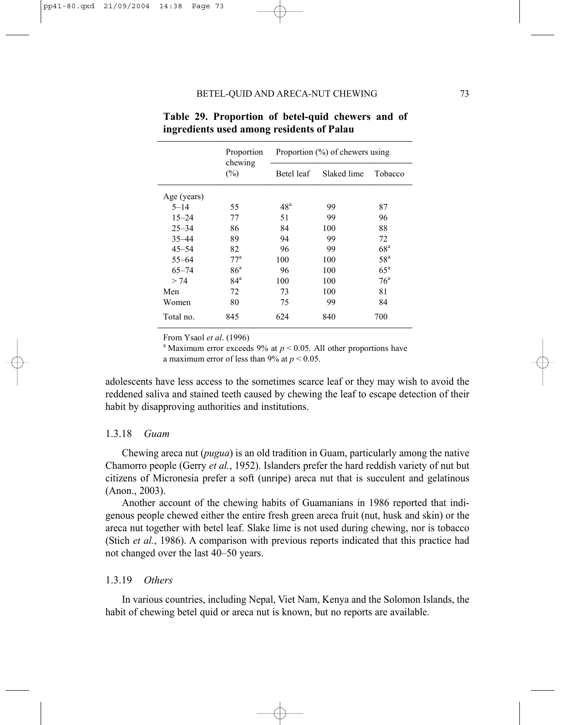|             | Proportion        |                 | Proportion $(\%)$ of chewers using |                   |
|-------------|-------------------|-----------------|------------------------------------|-------------------|
|             | chewing<br>$(\%)$ | Betel leaf      | Slaked lime                        | Tobacco           |
| Age (years) |                   |                 |                                    |                   |
| $5 - 14$    | 55                | 48 <sup>a</sup> | 99                                 | 87                |
| $15 - 24$   | 77                | 51              | 99                                 | 96                |
| $25 - 34$   | 86                | 84              | 100                                | 88                |
| $35 - 44$   | 89                | 94              | 99                                 | 72                |
| $45 - 54$   | 82                | 96              | 99                                 | 68 <sup>a</sup>   |
| $55 - 64$   | $77^{\rm a}$      | 100             | 100                                | 58 <sup>a</sup>   |
| $65 - 74$   | 86 <sup>a</sup>   | 96              | 100                                | $65^{\mathrm{a}}$ |
| > 74        | 84 <sup>a</sup>   | 100             | 100                                | 76 <sup>a</sup>   |
| Men         | 72                | 73              | 100                                | 81                |
| Women       | 80                | 75              | 99                                 | 84                |
| Total no.   | 845               | 624             | 840                                | 700               |

**Table 29. Proportion of betel-quid chewers and of ingredients used among residents of Palau** 

From Ysaol *et al*. (1996) a

<sup>a</sup> Maximum error exceeds 9% at  $p < 0.05$ . All other proportions have

a maximum error of less than 9% at  $p < 0.05$ .

adolescents have less access to the sometimes scarce leaf or they may wish to avoid the reddened saliva and stained teeth caused by chewing the leaf to escape detection of their habit by disapproving authorities and institutions.

#### 1.3.18 *Guam*

Chewing areca nut (*pugua*) is an old tradition in Guam, particularly among the native Chamorro people (Gerry *et al.*, 1952). Islanders prefer the hard reddish variety of nut but citizens of Micronesia prefer a soft (unripe) areca nut that is succulent and gelatinous (Anon., 2003).

Another account of the chewing habits of Guamanians in 1986 reported that indigenous people chewed either the entire fresh green areca fruit (nut, husk and skin) or the areca nut together with betel leaf. Slake lime is not used during chewing, nor is tobacco (Stich *et al.*, 1986). A comparison with previous reports indicated that this practice had not changed over the last 40–50 years.

#### 1.3.19 *Others*

In various countries, including Nepal, Viet Nam, Kenya and the Solomon Islands, the habit of chewing betel quid or areca nut is known, but no reports are available.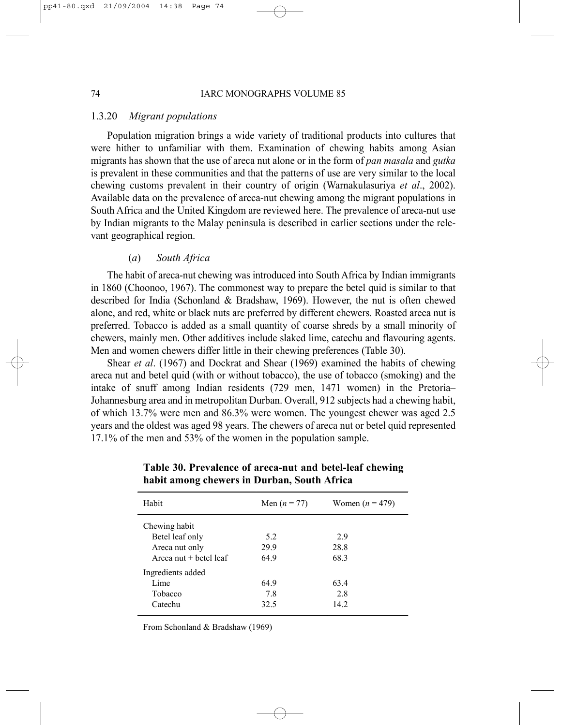#### 1.3.20 *Migrant populations*

Population migration brings a wide variety of traditional products into cultures that were hither to unfamiliar with them. Examination of chewing habits among Asian migrants has shown that the use of areca nut alone or in the form of *pan masala* and *gutka* is prevalent in these communities and that the patterns of use are very similar to the local chewing customs prevalent in their country of origin (Warnakulasuriya *et al*., 2002). Available data on the prevalence of areca-nut chewing among the migrant populations in South Africa and the United Kingdom are reviewed here. The prevalence of areca-nut use by Indian migrants to the Malay peninsula is described in earlier sections under the relevant geographical region.

#### (*a*) *South Africa*

The habit of areca-nut chewing was introduced into South Africa by Indian immigrants in 1860 (Choonoo, 1967). The commonest way to prepare the betel quid is similar to that described for India (Schonland & Bradshaw, 1969). However, the nut is often chewed alone, and red, white or black nuts are preferred by different chewers. Roasted areca nut is preferred. Tobacco is added as a small quantity of coarse shreds by a small minority of chewers, mainly men. Other additives include slaked lime, catechu and flavouring agents. Men and women chewers differ little in their chewing preferences (Table 30).

Shear *et al*. (1967) and Dockrat and Shear (1969) examined the habits of chewing areca nut and betel quid (with or without tobacco), the use of tobacco (smoking) and the intake of snuff among Indian residents (729 men, 1471 women) in the Pretoria– Johannesburg area and in metropolitan Durban. Overall, 912 subjects had a chewing habit, of which 13.7% were men and 86.3% were women. The youngest chewer was aged 2.5 years and the oldest was aged 98 years. The chewers of areca nut or betel quid represented 17.1% of the men and 53% of the women in the population sample.

| Habit                    | Men $(n = 77)$ | Women $(n = 479)$ |
|--------------------------|----------------|-------------------|
| Chewing habit            |                |                   |
| Betel leaf only          | 5.2            | 29                |
| Areca nut only           | 29.9           | 28.8              |
| Areca nut $+$ betel leaf | 64.9           | 68.3              |
| Ingredients added        |                |                   |
| Lime                     | 64.9           | 63.4              |
| Tobacco                  | 7.8            | 2.8               |
| Catechu                  | 32.5           | 14.2              |
|                          |                |                   |

**Table 30. Prevalence of areca-nut and betel-leaf chewing habit among chewers in Durban, South Africa**

From Schonland & Bradshaw (1969)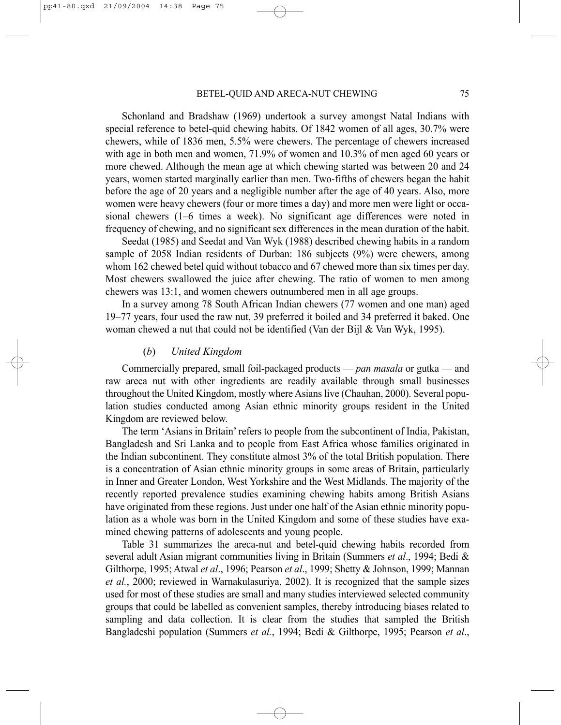Schonland and Bradshaw (1969) undertook a survey amongst Natal Indians with special reference to betel-quid chewing habits. Of 1842 women of all ages, 30.7% were chewers, while of 1836 men, 5.5% were chewers. The percentage of chewers increased with age in both men and women, 71.9% of women and 10.3% of men aged 60 years or more chewed. Although the mean age at which chewing started was between 20 and 24 years, women started marginally earlier than men. Two-fifths of chewers began the habit before the age of 20 years and a negligible number after the age of 40 years. Also, more women were heavy chewers (four or more times a day) and more men were light or occasional chewers (1–6 times a week). No significant age differences were noted in frequency of chewing, and no significant sex differences in the mean duration of the habit.

Seedat (1985) and Seedat and Van Wyk (1988) described chewing habits in a random sample of 2058 Indian residents of Durban: 186 subjects (9%) were chewers, among whom 162 chewed betel quid without tobacco and 67 chewed more than six times per day. Most chewers swallowed the juice after chewing. The ratio of women to men among chewers was 13:1, and women chewers outnumbered men in all age groups.

In a survey among 78 South African Indian chewers (77 women and one man) aged 19–77 years, four used the raw nut, 39 preferred it boiled and 34 preferred it baked. One woman chewed a nut that could not be identified (Van der Bijl & Van Wyk, 1995).

#### (*b*) *United Kingdom*

Commercially prepared, small foil-packaged products — *pan masala* or gutka — and raw areca nut with other ingredients are readily available through small businesses throughout the United Kingdom, mostly where Asians live (Chauhan, 2000). Several population studies conducted among Asian ethnic minority groups resident in the United Kingdom are reviewed below.

The term 'Asians in Britain' refers to people from the subcontinent of India, Pakistan, Bangladesh and Sri Lanka and to people from East Africa whose families originated in the Indian subcontinent. They constitute almost 3% of the total British population. There is a concentration of Asian ethnic minority groups in some areas of Britain, particularly in Inner and Greater London, West Yorkshire and the West Midlands. The majority of the recently reported prevalence studies examining chewing habits among British Asians have originated from these regions. Just under one half of the Asian ethnic minority population as a whole was born in the United Kingdom and some of these studies have examined chewing patterns of adolescents and young people.

Table 31 summarizes the areca-nut and betel-quid chewing habits recorded from several adult Asian migrant communities living in Britain (Summers *et al*., 1994; Bedi & Gilthorpe, 1995; Atwal *et al*., 1996; Pearson *et al*., 1999; Shetty & Johnson, 1999; Mannan *et al.*, 2000; reviewed in Warnakulasuriya, 2002). It is recognized that the sample sizes used for most of these studies are small and many studies interviewed selected community groups that could be labelled as convenient samples, thereby introducing biases related to sampling and data collection. It is clear from the studies that sampled the British Bangladeshi population (Summers *et al.*, 1994; Bedi & Gilthorpe, 1995; Pearson *et al*.,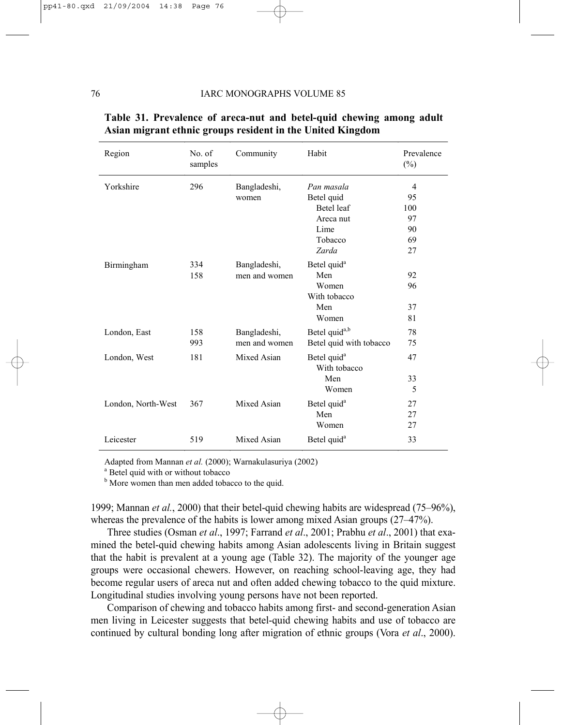| Region             | No. of<br>samples | Community     | Habit                                   | Prevalence<br>$(\%)$ |
|--------------------|-------------------|---------------|-----------------------------------------|----------------------|
| Yorkshire          | 296               | Bangladeshi,  | Pan masala                              | $\overline{4}$       |
|                    |                   | women         | Betel quid                              | 95                   |
|                    |                   |               | Betel leaf                              | 100                  |
|                    |                   |               | Areca nut                               | 97                   |
|                    |                   |               | Lime                                    | 90                   |
|                    |                   |               | Tobacco                                 | 69                   |
|                    |                   |               | Zarda                                   | 27                   |
| Birmingham         | 334               | Bangladeshi,  | Betel quid <sup>a</sup>                 |                      |
|                    | 158               | men and women | Men                                     | 92                   |
|                    |                   |               | Women                                   | 96                   |
|                    |                   |               | With tobacco                            |                      |
|                    |                   |               | Men                                     | 37                   |
|                    |                   |               | Women                                   | 81                   |
| London, East       | 158               | Bangladeshi,  | Betel quid <sup>a,b</sup>               | 78                   |
|                    | 993               | men and women | Betel quid with tobacco                 | 75                   |
| London, West       | 181               | Mixed Asian   | Betel quid <sup>a</sup><br>With tobacco | 47                   |
|                    |                   |               | Men                                     | 33                   |
|                    |                   |               | Women                                   | 5                    |
| London, North-West | 367               | Mixed Asian   | Betel quid <sup>a</sup>                 | 27                   |
|                    |                   |               | Men                                     | 27                   |
|                    |                   |               | Women                                   | 27                   |
| Leicester          | 519               | Mixed Asian   | Betel quid <sup>a</sup>                 | 33                   |

# **Table 31. Prevalence of areca-nut and betel-quid chewing among adult Asian migrant ethnic groups resident in the United Kingdom**

Adapted from Mannan et al. (2000); Warnakulasuriya (2002)

<sup>a</sup> Betel quid with or without tobacco

<sup>b</sup> More women than men added tobacco to the quid.

1999; Mannan *et al.*, 2000) that their betel-quid chewing habits are widespread (75–96%), whereas the prevalence of the habits is lower among mixed Asian groups (27–47%).

Three studies (Osman *et al*., 1997; Farrand *et al*., 2001; Prabhu *et al*., 2001) that examined the betel-quid chewing habits among Asian adolescents living in Britain suggest that the habit is prevalent at a young age (Table 32). The majority of the younger age groups were occasional chewers. However, on reaching school-leaving age, they had become regular users of areca nut and often added chewing tobacco to the quid mixture. Longitudinal studies involving young persons have not been reported.

Comparison of chewing and tobacco habits among first- and second-generation Asian men living in Leicester suggests that betel-quid chewing habits and use of tobacco are continued by cultural bonding long after migration of ethnic groups (Vora *et al*., 2000).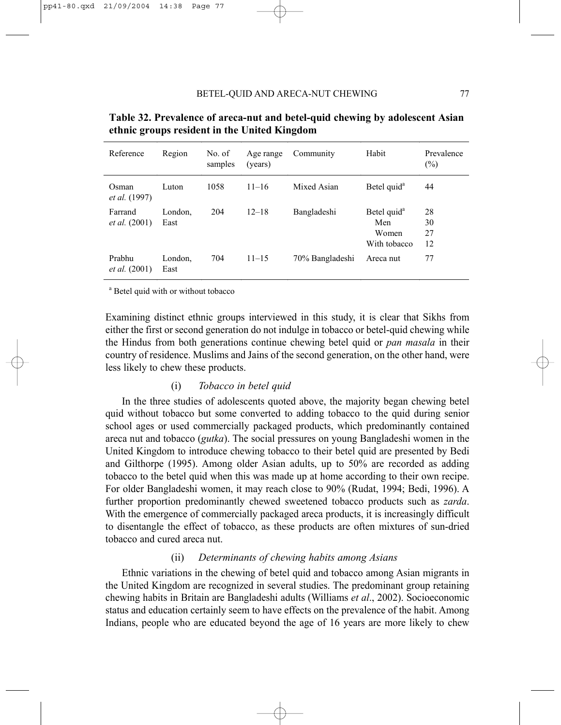| Reference                       | Region          | No. of<br>samples | Age range<br>(years) | Community       | Habit                                                   | Prevalence<br>$(\%)$ |
|---------------------------------|-----------------|-------------------|----------------------|-----------------|---------------------------------------------------------|----------------------|
| Osman<br><i>et al.</i> (1997)   | Luton           | 1058              | $11 - 16$            | Mixed Asian     | Betel quid <sup>a</sup>                                 | 44                   |
| Farrand<br><i>et al.</i> (2001) | London,<br>East | 204               | $12 - 18$            | Bangladeshi     | Betel quid <sup>a</sup><br>Men<br>Women<br>With tobacco | 28<br>30<br>27<br>12 |
| Prabhu<br><i>et al.</i> (2001)  | London.<br>East | 704               | $11 - 15$            | 70% Bangladeshi | Areca nut                                               | 77                   |

**Table 32. Prevalence of areca-nut and betel-quid chewing by adolescent Asian ethnic groups resident in the United Kingdom** 

<sup>a</sup> Betel quid with or without tobacco

Examining distinct ethnic groups interviewed in this study, it is clear that Sikhs from either the first or second generation do not indulge in tobacco or betel-quid chewing while the Hindus from both generations continue chewing betel quid or *pan masala* in their country of residence. Muslims and Jains of the second generation, on the other hand, were less likely to chew these products.

#### (i) *Tobacco in betel quid*

In the three studies of adolescents quoted above, the majority began chewing betel quid without tobacco but some converted to adding tobacco to the quid during senior school ages or used commercially packaged products, which predominantly contained areca nut and tobacco (*gutka*). The social pressures on young Bangladeshi women in the United Kingdom to introduce chewing tobacco to their betel quid are presented by Bedi and Gilthorpe (1995). Among older Asian adults, up to 50% are recorded as adding tobacco to the betel quid when this was made up at home according to their own recipe. For older Bangladeshi women, it may reach close to 90% (Rudat, 1994; Bedi, 1996). A further proportion predominantly chewed sweetened tobacco products such as *zarda*. With the emergence of commercially packaged areca products, it is increasingly difficult to disentangle the effect of tobacco, as these products are often mixtures of sun-dried tobacco and cured areca nut.

#### (ii) *Determinants of chewing habits among Asians*

Ethnic variations in the chewing of betel quid and tobacco among Asian migrants in the United Kingdom are recognized in several studies. The predominant group retaining chewing habits in Britain are Bangladeshi adults (Williams *et al*., 2002). Socioeconomic status and education certainly seem to have effects on the prevalence of the habit. Among Indians, people who are educated beyond the age of 16 years are more likely to chew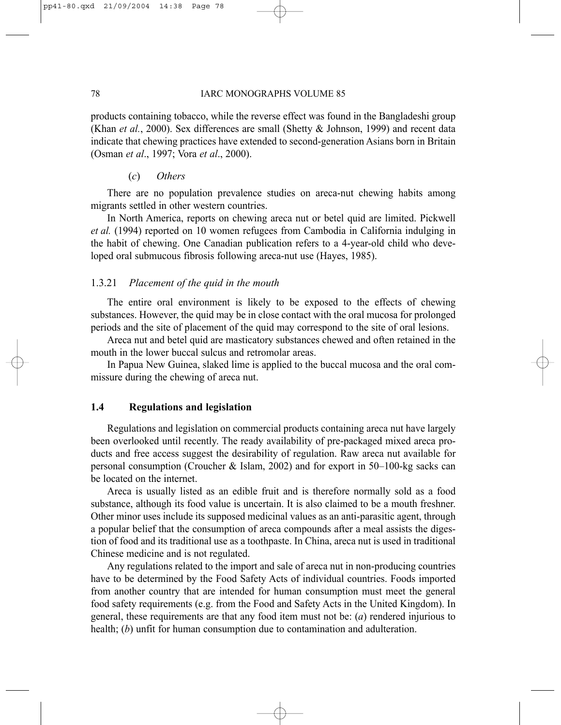#### 78 IARC MONOGRAPHS VOLUME 85

products containing tobacco, while the reverse effect was found in the Bangladeshi group (Khan *et al.*, 2000). Sex differences are small (Shetty & Johnson, 1999) and recent data indicate that chewing practices have extended to second-generation Asians born in Britain (Osman *et al*., 1997; Vora *et al*., 2000).

#### (*c*) *Others*

There are no population prevalence studies on areca-nut chewing habits among migrants settled in other western countries.

In North America, reports on chewing areca nut or betel quid are limited. Pickwell *et al.* (1994) reported on 10 women refugees from Cambodia in California indulging in the habit of chewing. One Canadian publication refers to a 4-year-old child who developed oral submucous fibrosis following areca-nut use (Hayes, 1985).

#### 1.3.21 *Placement of the quid in the mouth*

The entire oral environment is likely to be exposed to the effects of chewing substances. However, the quid may be in close contact with the oral mucosa for prolonged periods and the site of placement of the quid may correspond to the site of oral lesions.

Areca nut and betel quid are masticatory substances chewed and often retained in the mouth in the lower buccal sulcus and retromolar areas.

In Papua New Guinea, slaked lime is applied to the buccal mucosa and the oral commissure during the chewing of areca nut.

### **1.4 Regulations and legislation**

Regulations and legislation on commercial products containing areca nut have largely been overlooked until recently. The ready availability of pre-packaged mixed areca products and free access suggest the desirability of regulation. Raw areca nut available for personal consumption (Croucher & Islam, 2002) and for export in  $50-100$ -kg sacks can be located on the internet.

Areca is usually listed as an edible fruit and is therefore normally sold as a food substance, although its food value is uncertain. It is also claimed to be a mouth freshner. Other minor uses include its supposed medicinal values as an anti-parasitic agent, through a popular belief that the consumption of areca compounds after a meal assists the digestion of food and its traditional use as a toothpaste. In China, areca nut is used in traditional Chinese medicine and is not regulated.

Any regulations related to the import and sale of areca nut in non-producing countries have to be determined by the Food Safety Acts of individual countries. Foods imported from another country that are intended for human consumption must meet the general food safety requirements (e.g. from the Food and Safety Acts in the United Kingdom). In general, these requirements are that any food item must not be: (*a*) rendered injurious to health; (*b*) unfit for human consumption due to contamination and adulteration.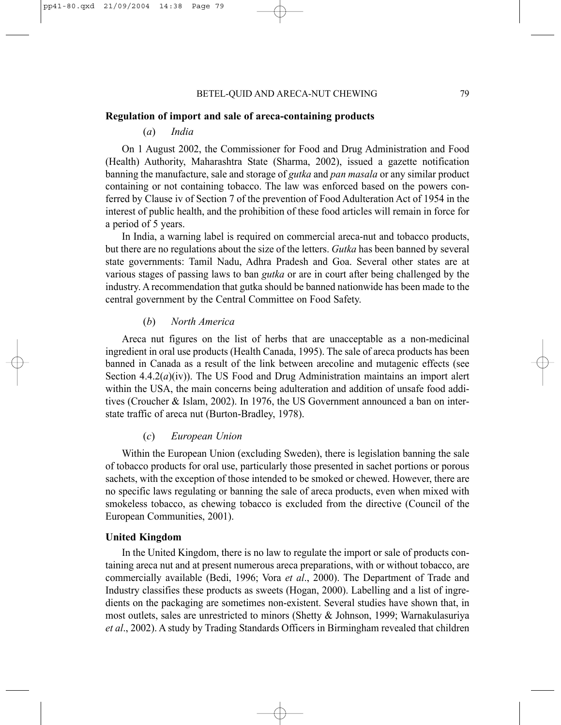#### **Regulation of import and sale of areca-containing products**

#### (*a*) *India*

On 1 August 2002, the Commissioner for Food and Drug Administration and Food (Health) Authority, Maharashtra State (Sharma, 2002), issued a gazette notification banning the manufacture, sale and storage of *gutka* and *pan masala* or any similar product containing or not containing tobacco. The law was enforced based on the powers conferred by Clause iv of Section 7 of the prevention of Food Adulteration Act of 1954 in the interest of public health, and the prohibition of these food articles will remain in force for a period of 5 years.

In India, a warning label is required on commercial areca-nut and tobacco products, but there are no regulations about the size of the letters. *Gutka* has been banned by several state governments: Tamil Nadu, Adhra Pradesh and Goa. Several other states are at various stages of passing laws to ban *gutka* or are in court after being challenged by the industry. A recommendation that gutka should be banned nationwide has been made to the central government by the Central Committee on Food Safety.

#### (*b*) *North America*

Areca nut figures on the list of herbs that are unacceptable as a non-medicinal ingredient in oral use products (Health Canada, 1995). The sale of areca products has been banned in Canada as a result of the link between arecoline and mutagenic effects (see Section  $4.4.2(a)(iv)$ ). The US Food and Drug Administration maintains an import alert within the USA, the main concerns being adulteration and addition of unsafe food additives (Croucher & Islam, 2002). In 1976, the US Government announced a ban on interstate traffic of areca nut (Burton-Bradley, 1978).

#### (*c*) *European Union*

Within the European Union (excluding Sweden), there is legislation banning the sale of tobacco products for oral use, particularly those presented in sachet portions or porous sachets, with the exception of those intended to be smoked or chewed. However, there are no specific laws regulating or banning the sale of areca products, even when mixed with smokeless tobacco, as chewing tobacco is excluded from the directive (Council of the European Communities, 2001).

#### **United Kingdom**

In the United Kingdom, there is no law to regulate the import or sale of products containing areca nut and at present numerous areca preparations, with or without tobacco, are commercially available (Bedi, 1996; Vora *et al*., 2000). The Department of Trade and Industry classifies these products as sweets (Hogan, 2000). Labelling and a list of ingredients on the packaging are sometimes non-existent. Several studies have shown that, in most outlets, sales are unrestricted to minors (Shetty & Johnson, 1999; Warnakulasuriya *et al*., 2002). A study by Trading Standards Officers in Birmingham revealed that children